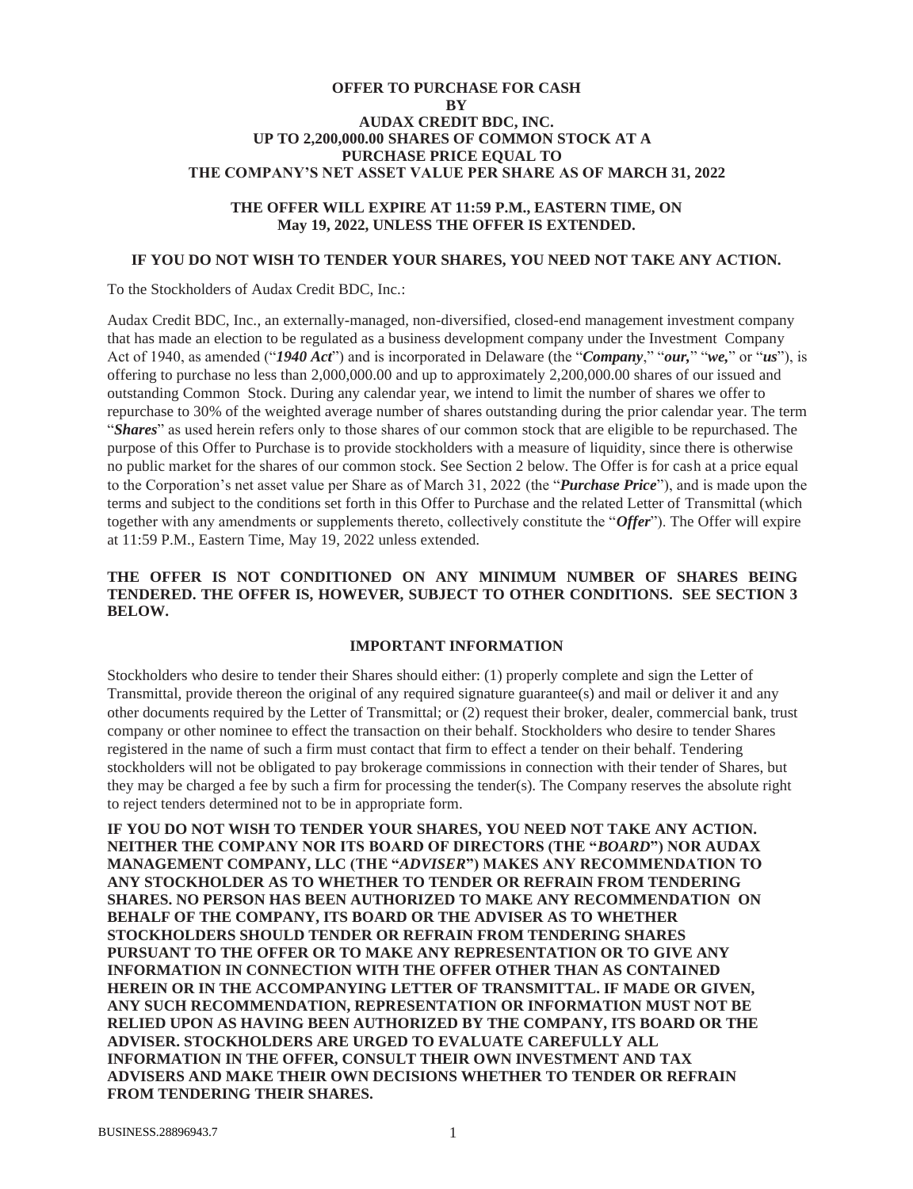## **OFFER TO PURCHASE FOR CASH BY AUDAX CREDIT BDC, INC. UP TO 2,200,000.00 SHARES OF COMMON STOCK AT A PURCHASE PRICE EQUAL TO THE COMPANY'S NET ASSET VALUE PER SHARE AS OF MARCH 31, 2022**

## **THE OFFER WILL EXPIRE AT 11:59 P.M., EASTERN TIME, ON May 19, 2022, UNLESS THE OFFER IS EXTENDED.**

#### **IF YOU DO NOT WISH TO TENDER YOUR SHARES, YOU NEED NOT TAKE ANY ACTION.**

To the Stockholders of Audax Credit BDC, Inc.:

Audax Credit BDC, Inc., an externally-managed, non-diversified, closed-end management investment company that has made an election to be regulated as a business development company under the Investment Company Act of 1940, as amended ("*1940 Act*") and is incorporated in Delaware (the "*Company*," "*our,*" "*we,*" or "*us*"), is offering to purchase no less than 2,000,000.00 and up to approximately 2,200,000.00 shares of our issued and outstanding Common Stock. During any calendar year, we intend to limit the number of shares we offer to repurchase to 30% of the weighted average number of shares outstanding during the prior calendar year. The term "*Shares*" as used herein refers only to those shares of our common stock that are eligible to be repurchased. The purpose of this Offer to Purchase is to provide stockholders with a measure of liquidity, since there is otherwise no public market for the shares of our common stock. See Section 2 below. The Offer is for cash at a price equal to the Corporation's net asset value per Share as of March 31, 2022 (the "*Purchase Price*"), and is made upon the terms and subject to the conditions set forth in this Offer to Purchase and the related Letter of Transmittal (which together with any amendments or supplements thereto, collectively constitute the "*Offer*"). The Offer will expire at 11:59 P.M., Eastern Time, May 19, 2022 unless extended.

#### **THE OFFER IS NOT CONDITIONED ON ANY MINIMUM NUMBER OF SHARES BEING TENDERED. THE OFFER IS, HOWEVER, SUBJECT TO OTHER CONDITIONS. SEE SECTION 3 BELOW.**

#### **IMPORTANT INFORMATION**

Stockholders who desire to tender their Shares should either: (1) properly complete and sign the Letter of Transmittal, provide thereon the original of any required signature guarantee(s) and mail or deliver it and any other documents required by the Letter of Transmittal; or (2) request their broker, dealer, commercial bank, trust company or other nominee to effect the transaction on their behalf. Stockholders who desire to tender Shares registered in the name of such a firm must contact that firm to effect a tender on their behalf. Tendering stockholders will not be obligated to pay brokerage commissions in connection with their tender of Shares, but they may be charged a fee by such a firm for processing the tender(s). The Company reserves the absolute right to reject tenders determined not to be in appropriate form.

**IF YOU DO NOT WISH TO TENDER YOUR SHARES, YOU NEED NOT TAKE ANY ACTION. NEITHER THE COMPANY NOR ITS BOARD OF DIRECTORS (THE "***BOARD***") NOR AUDAX MANAGEMENT COMPANY, LLC (THE "***ADVISER***") MAKES ANY RECOMMENDATION TO ANY STOCKHOLDER AS TO WHETHER TO TENDER OR REFRAIN FROM TENDERING SHARES. NO PERSON HAS BEEN AUTHORIZED TO MAKE ANY RECOMMENDATION ON BEHALF OF THE COMPANY, ITS BOARD OR THE ADVISER AS TO WHETHER STOCKHOLDERS SHOULD TENDER OR REFRAIN FROM TENDERING SHARES PURSUANT TO THE OFFER OR TO MAKE ANY REPRESENTATION OR TO GIVE ANY INFORMATION IN CONNECTION WITH THE OFFER OTHER THAN AS CONTAINED HEREIN OR IN THE ACCOMPANYING LETTER OF TRANSMITTAL. IF MADE OR GIVEN, ANY SUCH RECOMMENDATION, REPRESENTATION OR INFORMATION MUST NOT BE RELIED UPON AS HAVING BEEN AUTHORIZED BY THE COMPANY, ITS BOARD OR THE ADVISER. STOCKHOLDERS ARE URGED TO EVALUATE CAREFULLY ALL INFORMATION IN THE OFFER, CONSULT THEIR OWN INVESTMENT AND TAX ADVISERS AND MAKE THEIR OWN DECISIONS WHETHER TO TENDER OR REFRAIN FROM TENDERING THEIR SHARES.**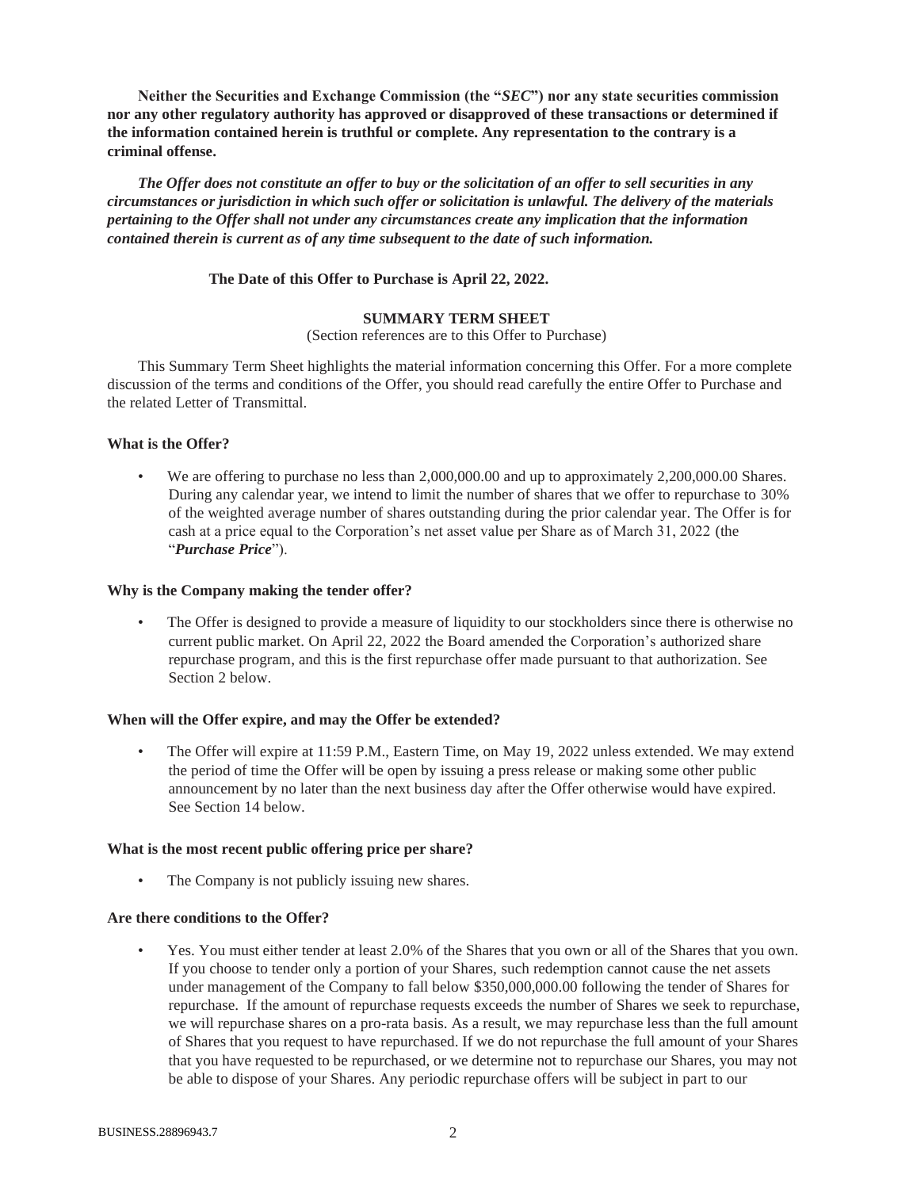**Neither the Securities and Exchange Commission (the "***SEC***") nor any state securities commission nor any other regulatory authority has approved or disapproved of these transactions or determined if the information contained herein is truthful or complete. Any representation to the contrary is a criminal offense.**

*The Offer does not constitute an offer to buy or the solicitation of an offer to sell securities in any circumstances or jurisdiction in which such offer or solicitation is unlawful. The delivery of the materials pertaining to the Offer shall not under any circumstances create any implication that the information contained therein is current as of any time subsequent to the date of such information.*

## **The Date of this Offer to Purchase is April 22, 2022.**

## **SUMMARY TERM SHEET**

#### (Section references are to this Offer to Purchase)

This Summary Term Sheet highlights the material information concerning this Offer. For a more complete discussion of the terms and conditions of the Offer, you should read carefully the entire Offer to Purchase and the related Letter of Transmittal.

## **What is the Offer?**

We are offering to purchase no less than 2,000,000.00 and up to approximately 2,200,000.00 Shares. During any calendar year, we intend to limit the number of shares that we offer to repurchase to 30% of the weighted average number of shares outstanding during the prior calendar year. The Offer is for cash at a price equal to the Corporation's net asset value per Share as of March 31, 2022 (the "*Purchase Price*").

#### **Why is the Company making the tender offer?**

The Offer is designed to provide a measure of liquidity to our stockholders since there is otherwise no current public market. On April 22, 2022 the Board amended the Corporation's authorized share repurchase program, and this is the first repurchase offer made pursuant to that authorization. See Section 2 below.

#### **When will the Offer expire, and may the Offer be extended?**

• The Offer will expire at 11:59 P.M., Eastern Time, on May 19, 2022 unless extended. We may extend the period of time the Offer will be open by issuing a press release or making some other public announcement by no later than the next business day after the Offer otherwise would have expired. See Section 14 below.

#### **What is the most recent public offering price per share?**

The Company is not publicly issuing new shares.

#### **Are there conditions to the Offer?**

• Yes. You must either tender at least 2.0% of the Shares that you own or all of the Shares that you own. If you choose to tender only a portion of your Shares, such redemption cannot cause the net assets under management of the Company to fall below \$350,000,000.00 following the tender of Shares for repurchase. If the amount of repurchase requests exceeds the number of Shares we seek to repurchase, we will repurchase shares on a pro-rata basis. As a result, we may repurchase less than the full amount of Shares that you request to have repurchased. If we do not repurchase the full amount of your Shares that you have requested to be repurchased, or we determine not to repurchase our Shares, you may not be able to dispose of your Shares. Any periodic repurchase offers will be subject in part to our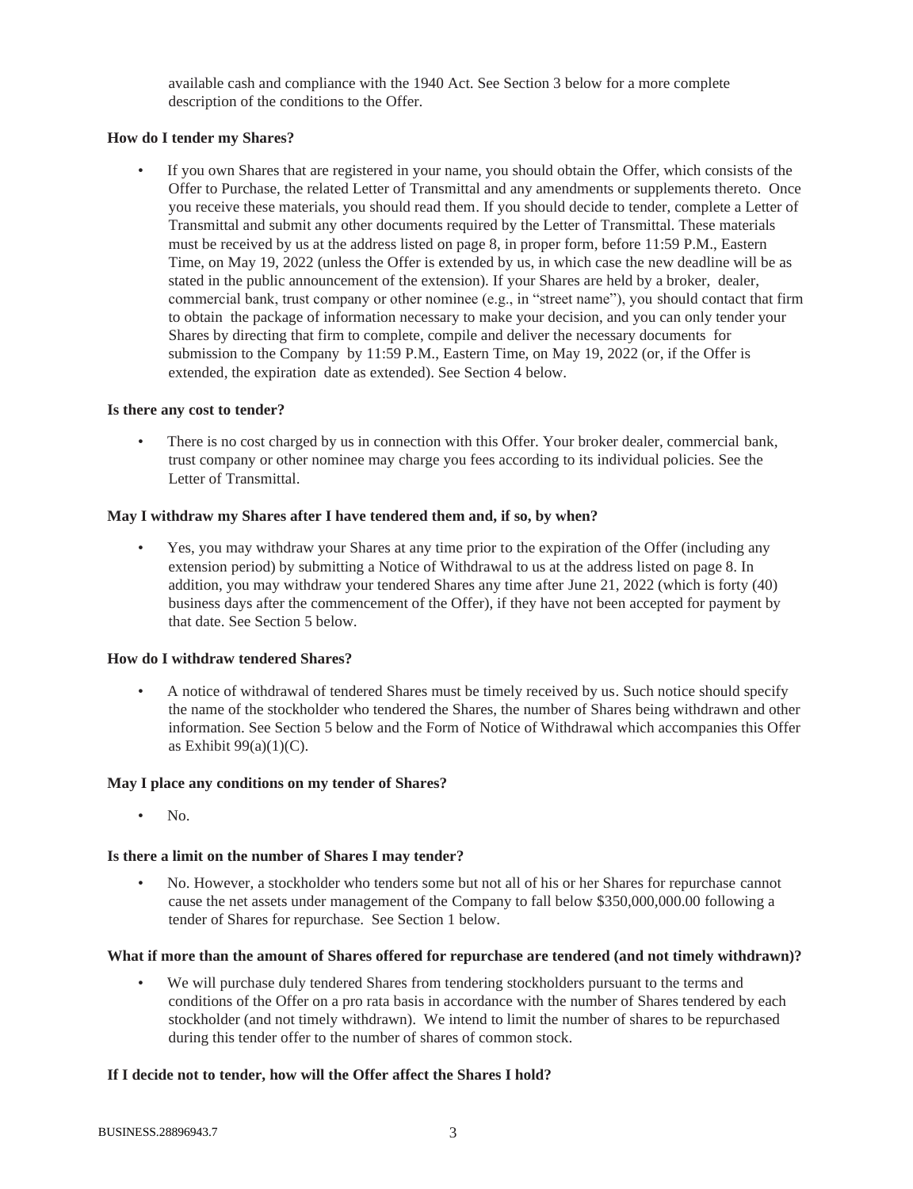available cash and compliance with the 1940 Act. See Section 3 below for a more complete description of the conditions to the Offer.

## **How do I tender my Shares?**

• If you own Shares that are registered in your name, you should obtain the Offer, which consists of the Offer to Purchase, the related Letter of Transmittal and any amendments or supplements thereto. Once you receive these materials, you should read them. If you should decide to tender, complete a Letter of Transmittal and submit any other documents required by the Letter of Transmittal. These materials must be received by us at the address listed on page 8, in proper form, before 11:59 P.M., Eastern Time, on May 19, 2022 (unless the Offer is extended by us, in which case the new deadline will be as stated in the public announcement of the extension). If your Shares are held by a broker, dealer, commercial bank, trust company or other nominee (e.g., in "street name"), you should contact that firm to obtain the package of information necessary to make your decision, and you can only tender your Shares by directing that firm to complete, compile and deliver the necessary documents for submission to the Company by 11:59 P.M., Eastern Time, on May 19, 2022 (or, if the Offer is extended, the expiration date as extended). See Section 4 below.

## **Is there any cost to tender?**

• There is no cost charged by us in connection with this Offer. Your broker dealer, commercial bank, trust company or other nominee may charge you fees according to its individual policies. See the Letter of Transmittal.

## **May I withdraw my Shares after I have tendered them and, if so, by when?**

• Yes, you may withdraw your Shares at any time prior to the expiration of the Offer (including any extension period) by submitting a Notice of Withdrawal to us at the address listed on page 8. In addition, you may withdraw your tendered Shares any time after June 21, 2022 (which is forty (40) business days after the commencement of the Offer), if they have not been accepted for payment by that date. See Section 5 below.

#### **How do I withdraw tendered Shares?**

• A notice of withdrawal of tendered Shares must be timely received by us. Such notice should specify the name of the stockholder who tendered the Shares, the number of Shares being withdrawn and other information. See Section 5 below and the Form of Notice of Withdrawal which accompanies this Offer as Exhibit  $99(a)(1)(C)$ .

#### **May I place any conditions on my tender of Shares?**

• No.

## **Is there a limit on the number of Shares I may tender?**

• No. However, a stockholder who tenders some but not all of his or her Shares for repurchase cannot cause the net assets under management of the Company to fall below \$350,000,000.00 following a tender of Shares for repurchase. See Section 1 below.

## **What if more than the amount of Shares offered for repurchase are tendered (and not timely withdrawn)?**

We will purchase duly tendered Shares from tendering stockholders pursuant to the terms and conditions of the Offer on a pro rata basis in accordance with the number of Shares tendered by each stockholder (and not timely withdrawn). We intend to limit the number of shares to be repurchased during this tender offer to the number of shares of common stock.

## **If I decide not to tender, how will the Offer affect the Shares I hold?**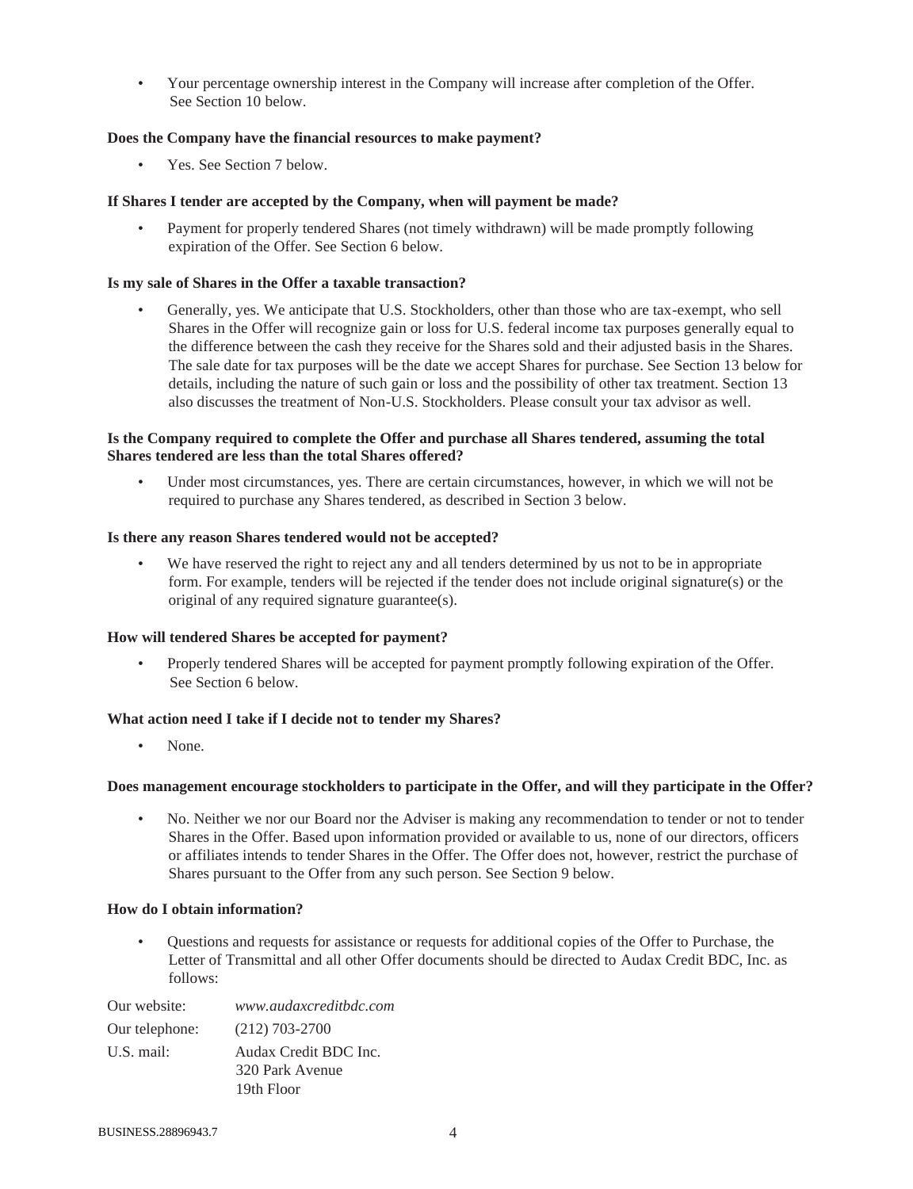• Your percentage ownership interest in the Company will increase after completion of the Offer. See Section 10 below.

## **Does the Company have the financial resources to make payment?**

Yes. See Section 7 below.

## **If Shares I tender are accepted by the Company, when will payment be made?**

Payment for properly tendered Shares (not timely withdrawn) will be made promptly following expiration of the Offer. See Section 6 below.

## **Is my sale of Shares in the Offer a taxable transaction?**

• Generally, yes. We anticipate that U.S. Stockholders, other than those who are tax-exempt, who sell Shares in the Offer will recognize gain or loss for U.S. federal income tax purposes generally equal to the difference between the cash they receive for the Shares sold and their adjusted basis in the Shares. The sale date for tax purposes will be the date we accept Shares for purchase. See Section 13 below for details, including the nature of such gain or loss and the possibility of other tax treatment. Section 13 also discusses the treatment of Non-U.S. Stockholders. Please consult your tax advisor as well.

## **Is the Company required to complete the Offer and purchase all Shares tendered, assuming the total Shares tendered are less than the total Shares offered?**

Under most circumstances, yes. There are certain circumstances, however, in which we will not be required to purchase any Shares tendered, as described in Section 3 below.

## **Is there any reason Shares tendered would not be accepted?**

We have reserved the right to reject any and all tenders determined by us not to be in appropriate form. For example, tenders will be rejected if the tender does not include original signature(s) or the original of any required signature guarantee(s).

## **How will tendered Shares be accepted for payment?**

• Properly tendered Shares will be accepted for payment promptly following expiration of the Offer. See Section 6 below.

## **What action need I take if I decide not to tender my Shares?**

None.

## **Does management encourage stockholders to participate in the Offer, and will they participate in the Offer?**

No. Neither we nor our Board nor the Adviser is making any recommendation to tender or not to tender Shares in the Offer. Based upon information provided or available to us, none of our directors, officers or affiliates intends to tender Shares in the Offer. The Offer does not, however, restrict the purchase of Shares pursuant to the Offer from any such person. See Section 9 below.

## **How do I obtain information?**

• Questions and requests for assistance or requests for additional copies of the Offer to Purchase, the Letter of Transmittal and all other Offer documents should be directed to Audax Credit BDC, Inc. as follows:

| Our website:   | www.audaxcreditbdc.com |
|----------------|------------------------|
| Our telephone: | $(212)$ 703-2700       |
| U.S. mail:     | Audax Credit BDC Inc.  |
|                | 320 Park Avenue        |
|                | 19th Floor             |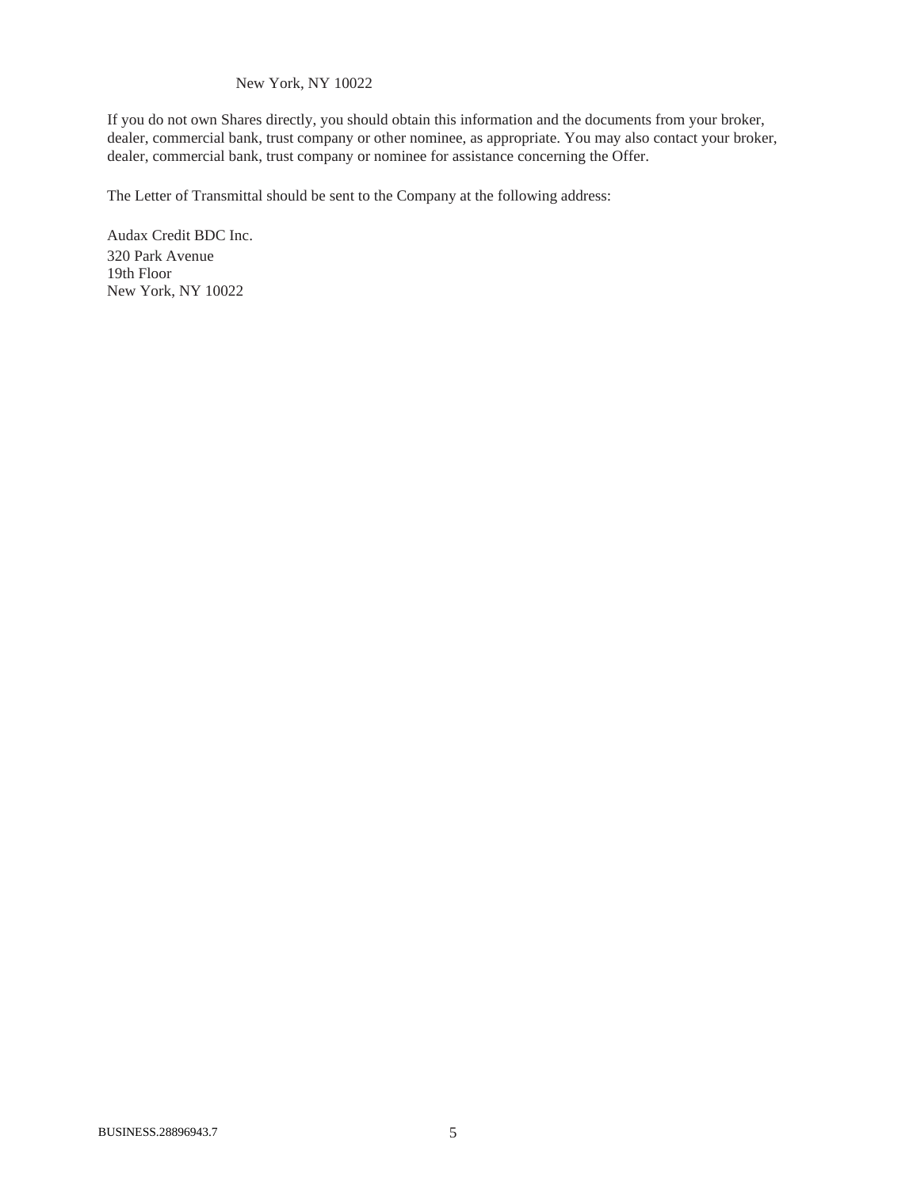## New York, NY 10022

If you do not own Shares directly, you should obtain this information and the documents from your broker, dealer, commercial bank, trust company or other nominee, as appropriate. You may also contact your broker, dealer, commercial bank, trust company or nominee for assistance concerning the Offer.

The Letter of Transmittal should be sent to the Company at the following address:

Audax Credit BDC Inc. 320 Park Avenue 19th Floor New York, NY 10022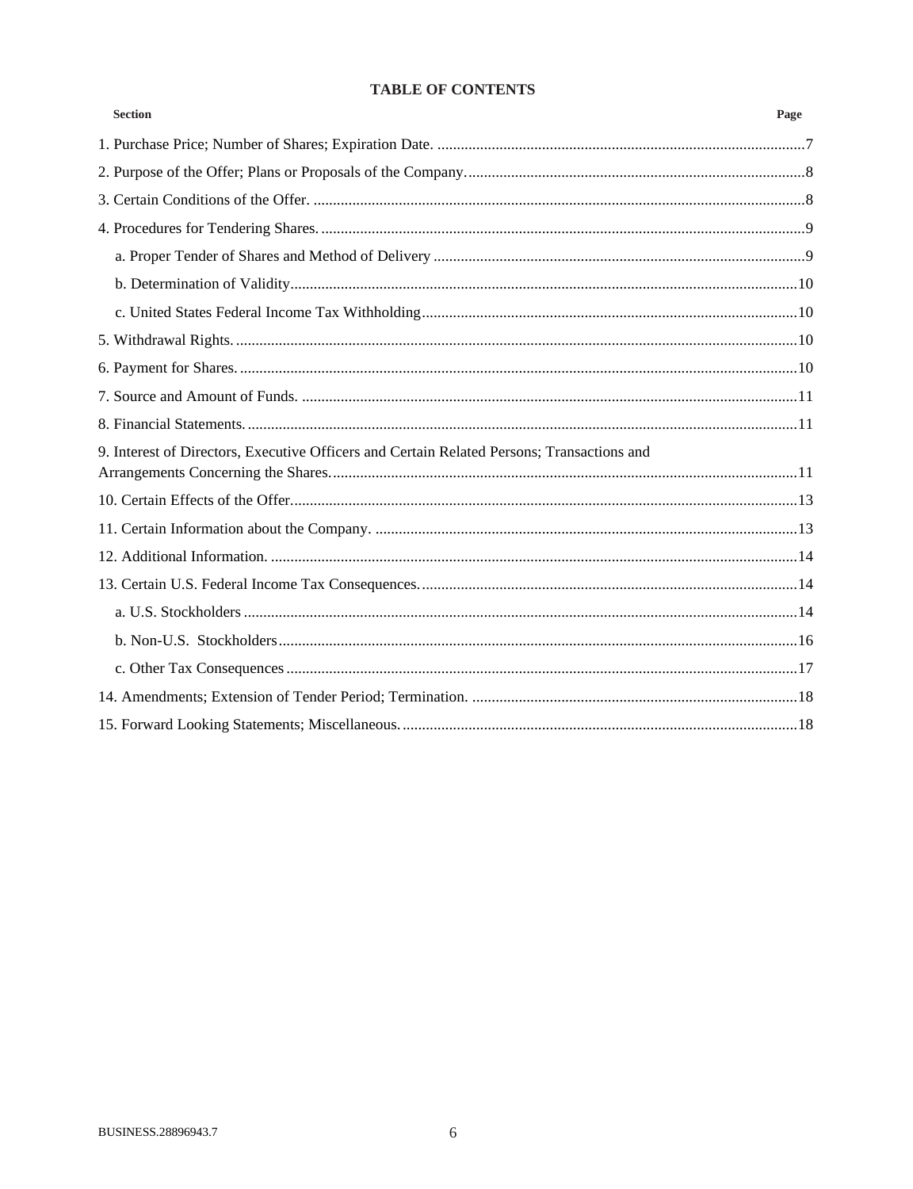# **TABLE OF CONTENTS**

| <b>Section</b>                                                                             | Page |
|--------------------------------------------------------------------------------------------|------|
|                                                                                            |      |
|                                                                                            |      |
|                                                                                            |      |
|                                                                                            |      |
|                                                                                            |      |
|                                                                                            |      |
|                                                                                            |      |
|                                                                                            |      |
|                                                                                            |      |
|                                                                                            |      |
|                                                                                            |      |
| 9. Interest of Directors, Executive Officers and Certain Related Persons; Transactions and |      |
|                                                                                            |      |
|                                                                                            |      |
|                                                                                            |      |
|                                                                                            |      |
|                                                                                            |      |
|                                                                                            |      |
|                                                                                            |      |
|                                                                                            |      |
|                                                                                            |      |
|                                                                                            |      |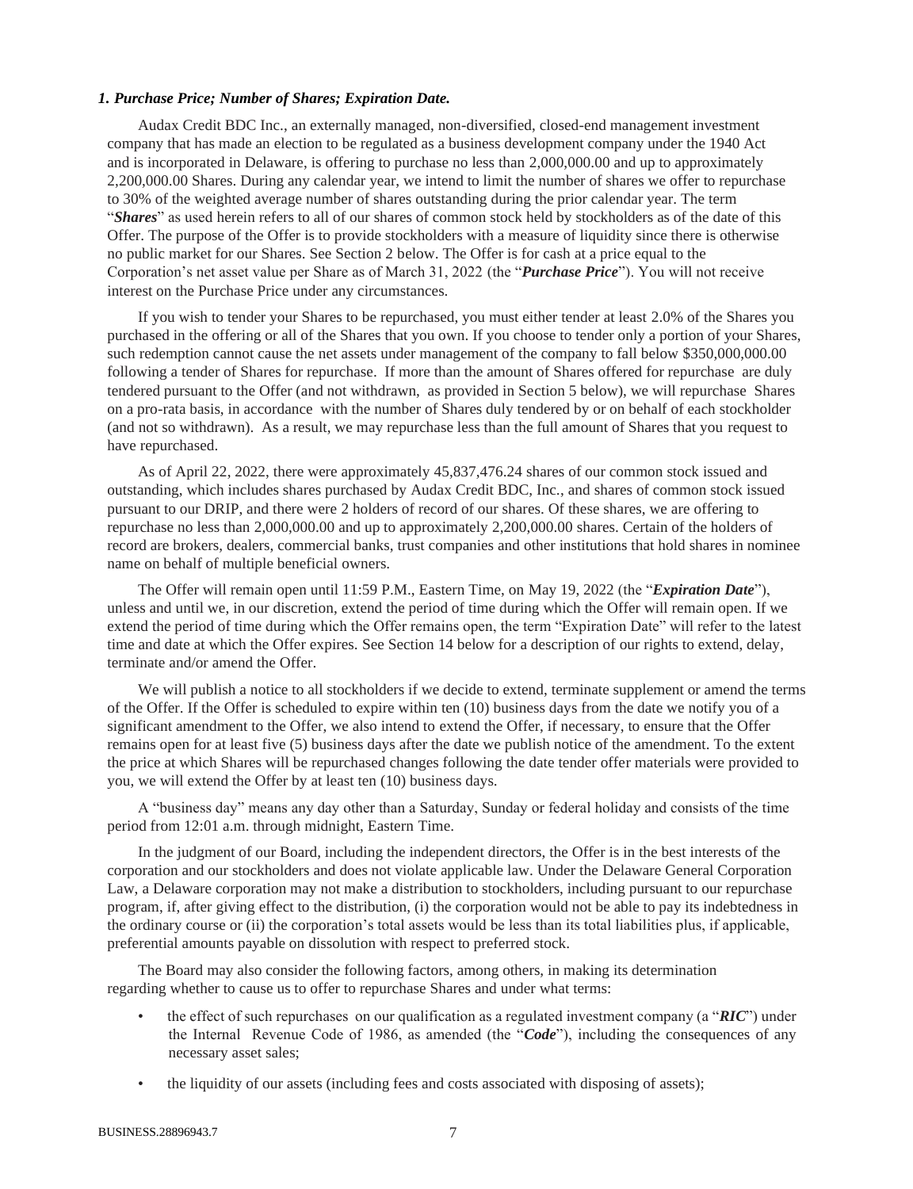#### <span id="page-6-0"></span>*1. Purchase Price; Number of Shares; Expiration Date.*

Audax Credit BDC Inc., an externally managed, non-diversified, closed-end management investment company that has made an election to be regulated as a business development company under the 1940 Act and is incorporated in Delaware, is offering to purchase no less than 2,000,000.00 and up to approximately 2,200,000.00 Shares. During any calendar year, we intend to limit the number of shares we offer to repurchase to 30% of the weighted average number of shares outstanding during the prior calendar year. The term "*Shares*" as used herein refers to all of our shares of common stock held by stockholders as of the date of this Offer. The purpose of the Offer is to provide stockholders with a measure of liquidity since there is otherwise no public market for our Shares. See Section 2 below. The Offer is for cash at a price equal to the Corporation's net asset value per Share as of March 31, 2022 (the "*Purchase Price*"). You will not receive interest on the Purchase Price under any circumstances.

If you wish to tender your Shares to be repurchased, you must either tender at least 2.0% of the Shares you purchased in the offering or all of the Shares that you own. If you choose to tender only a portion of your Shares, such redemption cannot cause the net assets under management of the company to fall below \$350,000,000.00 following a tender of Shares for repurchase. If more than the amount of Shares offered for repurchase are duly tendered pursuant to the Offer (and not withdrawn, as provided in Section 5 below), we will repurchase Shares on a pro-rata basis, in accordance with the number of Shares duly tendered by or on behalf of each stockholder (and not so withdrawn). As a result, we may repurchase less than the full amount of Shares that you request to have repurchased.

As of April 22, 2022, there were approximately 45,837,476.24 shares of our common stock issued and outstanding, which includes shares purchased by Audax Credit BDC, Inc., and shares of common stock issued pursuant to our DRIP, and there were 2 holders of record of our shares. Of these shares, we are offering to repurchase no less than 2,000,000.00 and up to approximately 2,200,000.00 shares. Certain of the holders of record are brokers, dealers, commercial banks, trust companies and other institutions that hold shares in nominee name on behalf of multiple beneficial owners.

The Offer will remain open until 11:59 P.M., Eastern Time, on May 19, 2022 (the "*Expiration Date*"), unless and until we, in our discretion, extend the period of time during which the Offer will remain open. If we extend the period of time during which the Offer remains open, the term "Expiration Date" will refer to the latest time and date at which the Offer expires. See Section 14 below for a description of our rights to extend, delay, terminate and/or amend the Offer.

We will publish a notice to all stockholders if we decide to extend, terminate supplement or amend the terms of the Offer. If the Offer is scheduled to expire within ten (10) business days from the date we notify you of a significant amendment to the Offer, we also intend to extend the Offer, if necessary, to ensure that the Offer remains open for at least five (5) business days after the date we publish notice of the amendment. To the extent the price at which Shares will be repurchased changes following the date tender offer materials were provided to you, we will extend the Offer by at least ten (10) business days.

A "business day" means any day other than a Saturday, Sunday or federal holiday and consists of the time period from 12:01 a.m. through midnight, Eastern Time.

In the judgment of our Board, including the independent directors, the Offer is in the best interests of the corporation and our stockholders and does not violate applicable law. Under the Delaware General Corporation Law, a Delaware corporation may not make a distribution to stockholders, including pursuant to our repurchase program, if, after giving effect to the distribution, (i) the corporation would not be able to pay its indebtedness in the ordinary course or (ii) the corporation's total assets would be less than its total liabilities plus, if applicable, preferential amounts payable on dissolution with respect to preferred stock.

The Board may also consider the following factors, among others, in making its determination regarding whether to cause us to offer to repurchase Shares and under what terms:

- the effect of such repurchases on our qualification as a regulated investment company (a "*RIC*") under the Internal Revenue Code of 1986, as amended (the "*Code*"), including the consequences of any necessary asset sales;
- the liquidity of our assets (including fees and costs associated with disposing of assets);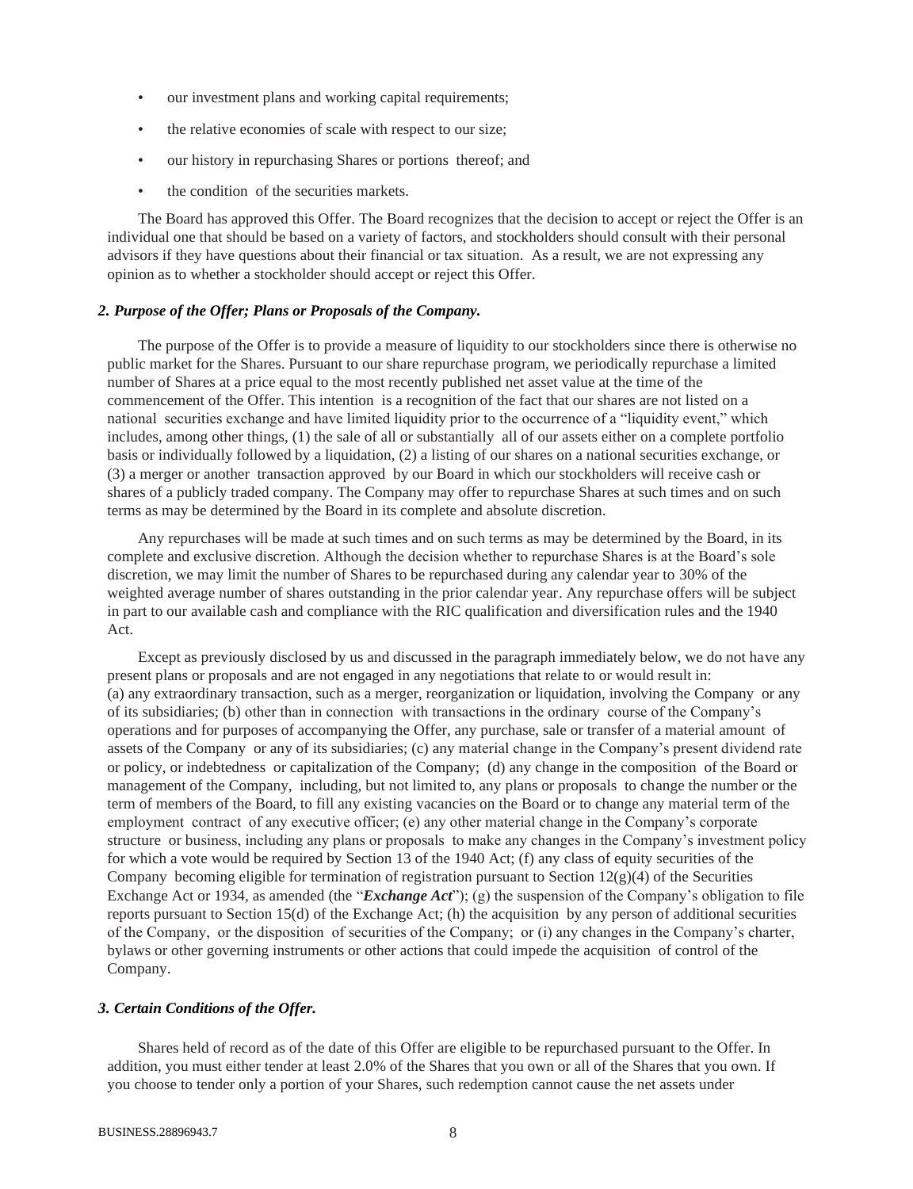- our investment plans and working capital requirements;
- the relative economies of scale with respect to our size;
- our history in repurchasing Shares or portions thereof; and
- the condition of the securities markets.

The Board has approved this Offer. The Board recognizes that the decision to accept or reject the Offer is an individual one that should be based on a variety of factors, and stockholders should consult with their personal advisors if they have questions about their financial or tax situation. As a result, we are not expressing any opinion as to whether a stockholder should accept or reject this Offer.

#### <span id="page-7-0"></span>*2. Purpose of the Offer; Plans or Proposals of the Company.*

The purpose of the Offer is to provide a measure of liquidity to our stockholders since there is otherwise no public market for the Shares. Pursuant to our share repurchase program, we periodically repurchase a limited number of Shares at a price equal to the most recently published net asset value at the time of the commencement of the Offer. This intention is a recognition of the fact that our shares are not listed on a national securities exchange and have limited liquidity prior to the occurrence of a "liquidity event," which includes, among other things, (1) the sale of all or substantially all of our assets either on a complete portfolio basis or individually followed by a liquidation, (2) a listing of our shares on a national securities exchange, or (3) a merger or another transaction approved by our Board in which our stockholders will receive cash or shares of a publicly traded company. The Company may offer to repurchase Shares at such times and on such terms as may be determined by the Board in its complete and absolute discretion.

Any repurchases will be made at such times and on such terms as may be determined by the Board, in its complete and exclusive discretion. Although the decision whether to repurchase Shares is at the Board's sole discretion, we may limit the number of Shares to be repurchased during any calendar year to 30% of the weighted average number of shares outstanding in the prior calendar year. Any repurchase offers will be subject in part to our available cash and compliance with the RIC qualification and diversification rules and the 1940 Act.

Except as previously disclosed by us and discussed in the paragraph immediately below, we do not have any present plans or proposals and are not engaged in any negotiations that relate to or would result in: (a) any extraordinary transaction, such as a merger, reorganization or liquidation, involving the Company or any of its subsidiaries; (b) other than in connection with transactions in the ordinary course of the Company's operations and for purposes of accompanying the Offer, any purchase, sale or transfer of a material amount of assets of the Company or any of its subsidiaries; (c) any material change in the Company's present dividend rate or policy, or indebtedness or capitalization of the Company; (d) any change in the composition of the Board or management of the Company, including, but not limited to, any plans or proposals to change the number or the term of members of the Board, to fill any existing vacancies on the Board or to change any material term of the employment contract of any executive officer; (e) any other material change in the Company's corporate structure or business, including any plans or proposals to make any changes in the Company's investment policy for which a vote would be required by Section 13 of the 1940 Act; (f) any class of equity securities of the Company becoming eligible for termination of registration pursuant to Section  $12(g)(4)$  of the Securities Exchange Act or 1934, as amended (the "*Exchange Act*"); (g) the suspension of the Company's obligation to file reports pursuant to Section 15(d) of the Exchange Act; (h) the acquisition by any person of additional securities of the Company, or the disposition of securities of the Company; or (i) any changes in the Company's charter, bylaws or other governing instruments or other actions that could impede the acquisition of control of the Company.

## <span id="page-7-1"></span>*3. Certain Conditions of the Offer.*

Shares held of record as of the date of this Offer are eligible to be repurchased pursuant to the Offer. In addition, you must either tender at least 2.0% of the Shares that you own or all of the Shares that you own. If you choose to tender only a portion of your Shares, such redemption cannot cause the net assets under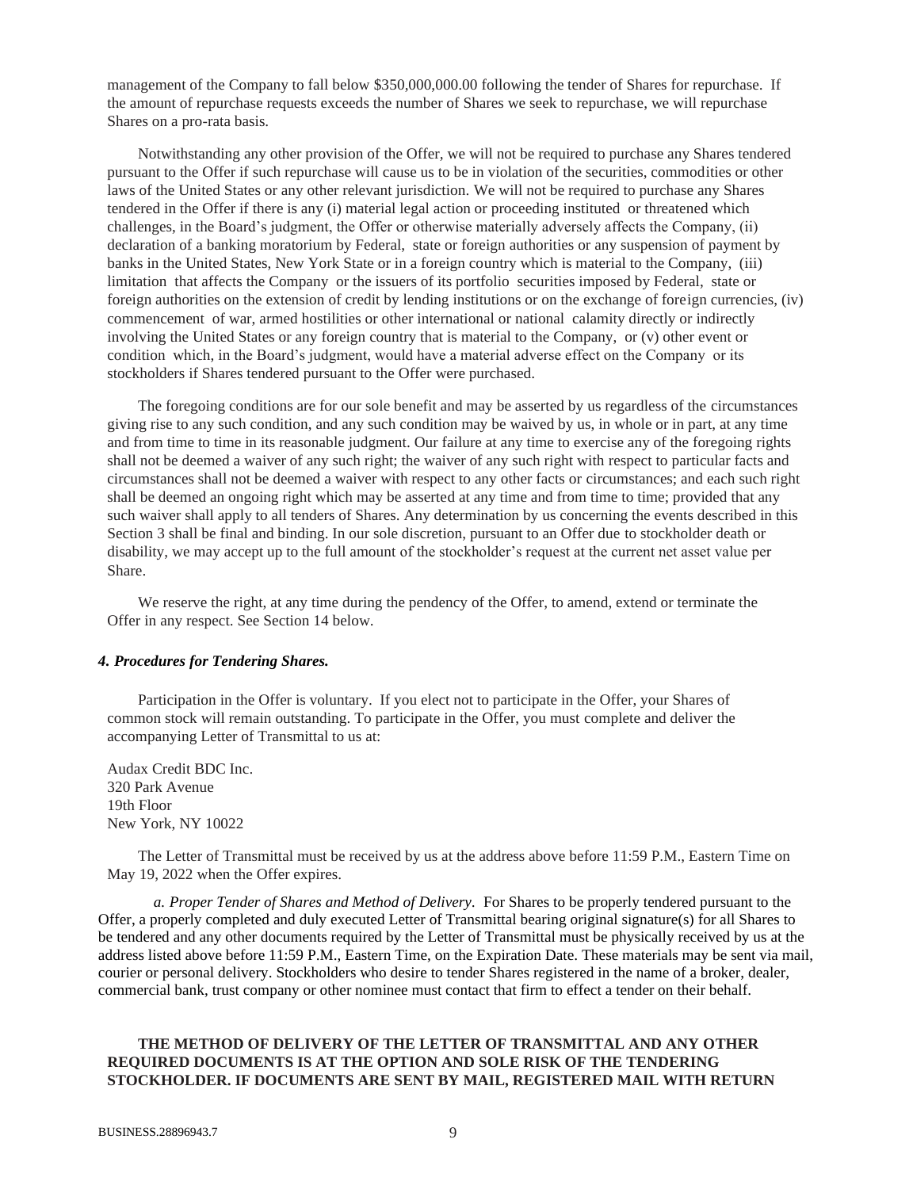management of the Company to fall below \$350,000,000.00 following the tender of Shares for repurchase. If the amount of repurchase requests exceeds the number of Shares we seek to repurchase, we will repurchase Shares on a pro-rata basis.

Notwithstanding any other provision of the Offer, we will not be required to purchase any Shares tendered pursuant to the Offer if such repurchase will cause us to be in violation of the securities, commodities or other laws of the United States or any other relevant jurisdiction. We will not be required to purchase any Shares tendered in the Offer if there is any (i) material legal action or proceeding instituted or threatened which challenges, in the Board's judgment, the Offer or otherwise materially adversely affects the Company, (ii) declaration of a banking moratorium by Federal, state or foreign authorities or any suspension of payment by banks in the United States, New York State or in a foreign country which is material to the Company, (iii) limitation that affects the Company or the issuers of its portfolio securities imposed by Federal, state or foreign authorities on the extension of credit by lending institutions or on the exchange of foreign currencies, (iv) commencement of war, armed hostilities or other international or national calamity directly or indirectly involving the United States or any foreign country that is material to the Company, or (v) other event or condition which, in the Board's judgment, would have a material adverse effect on the Company or its stockholders if Shares tendered pursuant to the Offer were purchased.

The foregoing conditions are for our sole benefit and may be asserted by us regardless of the circumstances giving rise to any such condition, and any such condition may be waived by us, in whole or in part, at any time and from time to time in its reasonable judgment. Our failure at any time to exercise any of the foregoing rights shall not be deemed a waiver of any such right; the waiver of any such right with respect to particular facts and circumstances shall not be deemed a waiver with respect to any other facts or circumstances; and each such right shall be deemed an ongoing right which may be asserted at any time and from time to time; provided that any such waiver shall apply to all tenders of Shares. Any determination by us concerning the events described in this Section 3 shall be final and binding. In our sole discretion, pursuant to an Offer due to stockholder death or disability, we may accept up to the full amount of the stockholder's request at the current net asset value per Share.

We reserve the right, at any time during the pendency of the Offer, to amend, extend or terminate the Offer in any respect. See Section 14 below.

#### <span id="page-8-0"></span>*4. Procedures for Tendering Shares.*

Participation in the Offer is voluntary. If you elect not to participate in the Offer, your Shares of common stock will remain outstanding. To participate in the Offer, you must complete and deliver the accompanying Letter of Transmittal to us at:

Audax Credit BDC Inc. 320 Park Avenue 19th Floor New York, NY 10022

The Letter of Transmittal must be received by us at the address above before 11:59 P.M., Eastern Time on May 19, 2022 when the Offer expires.

<span id="page-8-1"></span>*a. Proper Tender of Shares and Method of Delivery.* For Shares to be properly tendered pursuant to the Offer, a properly completed and duly executed Letter of Transmittal bearing original signature(s) for all Shares to be tendered and any other documents required by the Letter of Transmittal must be physically received by us at the address listed above before 11:59 P.M., Eastern Time, on the Expiration Date. These materials may be sent via mail, courier or personal delivery. Stockholders who desire to tender Shares registered in the name of a broker, dealer, commercial bank, trust company or other nominee must contact that firm to effect a tender on their behalf.

## **THE METHOD OF DELIVERY OF THE LETTER OF TRANSMITTAL AND ANY OTHER REQUIRED DOCUMENTS IS AT THE OPTION AND SOLE RISK OF THE TENDERING STOCKHOLDER. IF DOCUMENTS ARE SENT BY MAIL, REGISTERED MAIL WITH RETURN**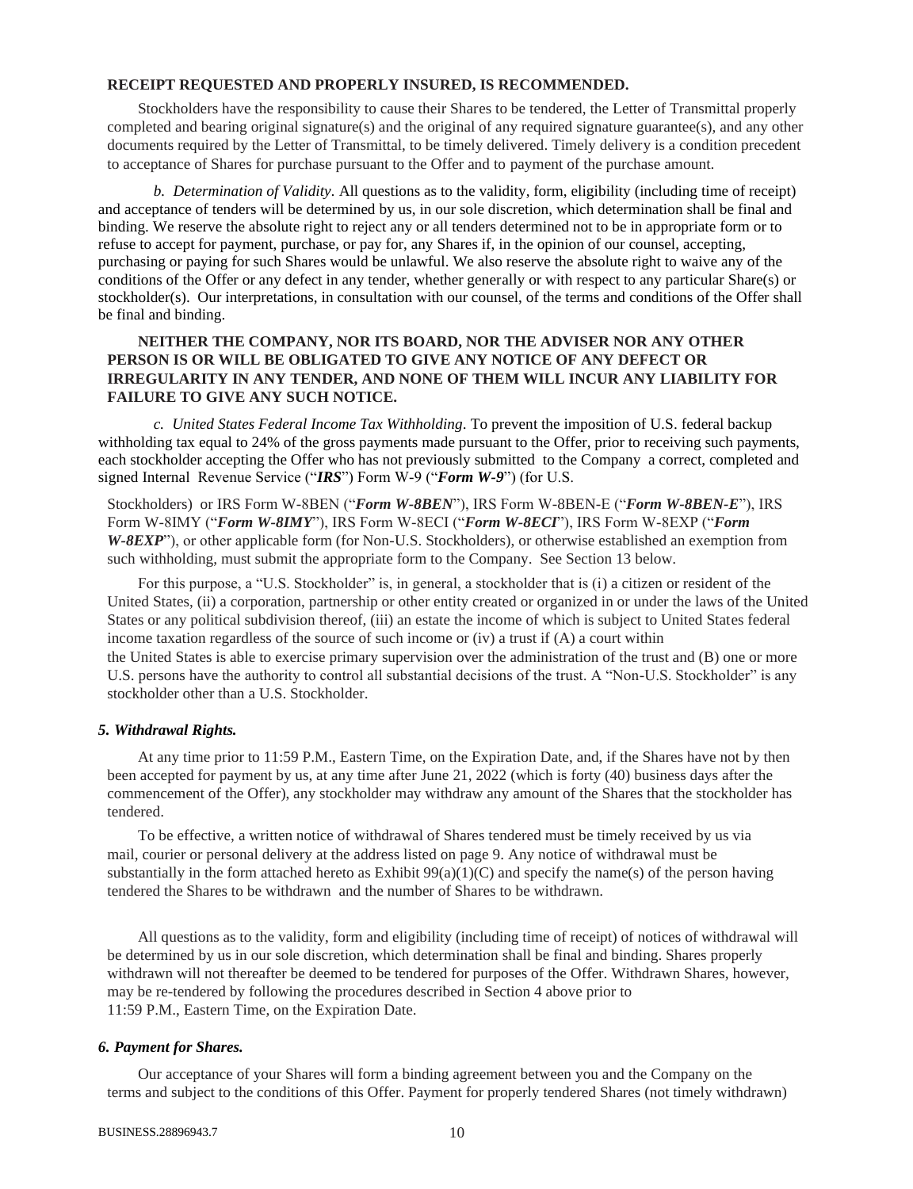## **RECEIPT REQUESTED AND PROPERLY INSURED, IS RECOMMENDED.**

Stockholders have the responsibility to cause their Shares to be tendered, the Letter of Transmittal properly completed and bearing original signature(s) and the original of any required signature guarantee(s), and any other documents required by the Letter of Transmittal, to be timely delivered. Timely delivery is a condition precedent to acceptance of Shares for purchase pursuant to the Offer and to payment of the purchase amount.

<span id="page-9-0"></span>*b. Determination of Validity.* All questions as to the validity, form, eligibility (including time of receipt) and acceptance of tenders will be determined by us, in our sole discretion, which determination shall be final and binding. We reserve the absolute right to reject any or all tenders determined not to be in appropriate form or to refuse to accept for payment, purchase, or pay for, any Shares if, in the opinion of our counsel, accepting, purchasing or paying for such Shares would be unlawful. We also reserve the absolute right to waive any of the conditions of the Offer or any defect in any tender, whether generally or with respect to any particular Share(s) or stockholder(s). Our interpretations, in consultation with our counsel, of the terms and conditions of the Offer shall be final and binding.

## **NEITHER THE COMPANY, NOR ITS BOARD, NOR THE ADVISER NOR ANY OTHER PERSON IS OR WILL BE OBLIGATED TO GIVE ANY NOTICE OF ANY DEFECT OR IRREGULARITY IN ANY TENDER, AND NONE OF THEM WILL INCUR ANY LIABILITY FOR FAILURE TO GIVE ANY SUCH NOTICE.**

<span id="page-9-1"></span>*c. United States Federal Income Tax Withholding.* To prevent the imposition of U.S. federal backup withholding tax equal to 24% of the gross payments made pursuant to the Offer, prior to receiving such payments, each stockholder accepting the Offer who has not previously submitted to the Company a correct, completed and signed Internal Revenue Service ("*IRS*") Form W-9 ("*Form W-9*") (for U.S.

Stockholders) or IRS Form W-8BEN ("*Form W-8BEN*"), IRS Form W-8BEN-E ("*Form W-8BEN-E*"), IRS Form W-8IMY ("*Form W-8IMY*"), IRS Form W-8ECI ("*Form W-8ECI*"), IRS Form W-8EXP ("*Form W-8EXP*"), or other applicable form (for Non-U.S. Stockholders), or otherwise established an exemption from such withholding, must submit the appropriate form to the Company. See Section 13 below.

For this purpose, a "U.S. Stockholder" is, in general, a stockholder that is (i) a citizen or resident of the United States, (ii) a corporation, partnership or other entity created or organized in or under the laws of the United States or any political subdivision thereof, (iii) an estate the income of which is subject to United States federal income taxation regardless of the source of such income or (iv) a trust if (A) a court within the United States is able to exercise primary supervision over the administration of the trust and (B) one or more U.S. persons have the authority to control all substantial decisions of the trust. A "Non-U.S. Stockholder" is any stockholder other than a U.S. Stockholder.

## <span id="page-9-2"></span>*5. Withdrawal Rights.*

At any time prior to 11:59 P.M., Eastern Time, on the Expiration Date, and, if the Shares have not by then been accepted for payment by us, at any time after June 21, 2022 (which is forty (40) business days after the commencement of the Offer), any stockholder may withdraw any amount of the Shares that the stockholder has tendered.

To be effective, a written notice of withdrawal of Shares tendered must be timely received by us via mail, courier or personal delivery at the address listed on page 9. Any notice of withdrawal must be substantially in the form attached hereto as Exhibit  $99(a)(1)(C)$  and specify the name(s) of the person having tendered the Shares to be withdrawn and the number of Shares to be withdrawn.

All questions as to the validity, form and eligibility (including time of receipt) of notices of withdrawal will be determined by us in our sole discretion, which determination shall be final and binding. Shares properly withdrawn will not thereafter be deemed to be tendered for purposes of the Offer. Withdrawn Shares, however, may be re-tendered by following the procedures described in Section 4 above prior to 11:59 P.M., Eastern Time, on the Expiration Date.

#### <span id="page-9-3"></span>*6. Payment for Shares.*

Our acceptance of your Shares will form a binding agreement between you and the Company on the terms and subject to the conditions of this Offer. Payment for properly tendered Shares (not timely withdrawn)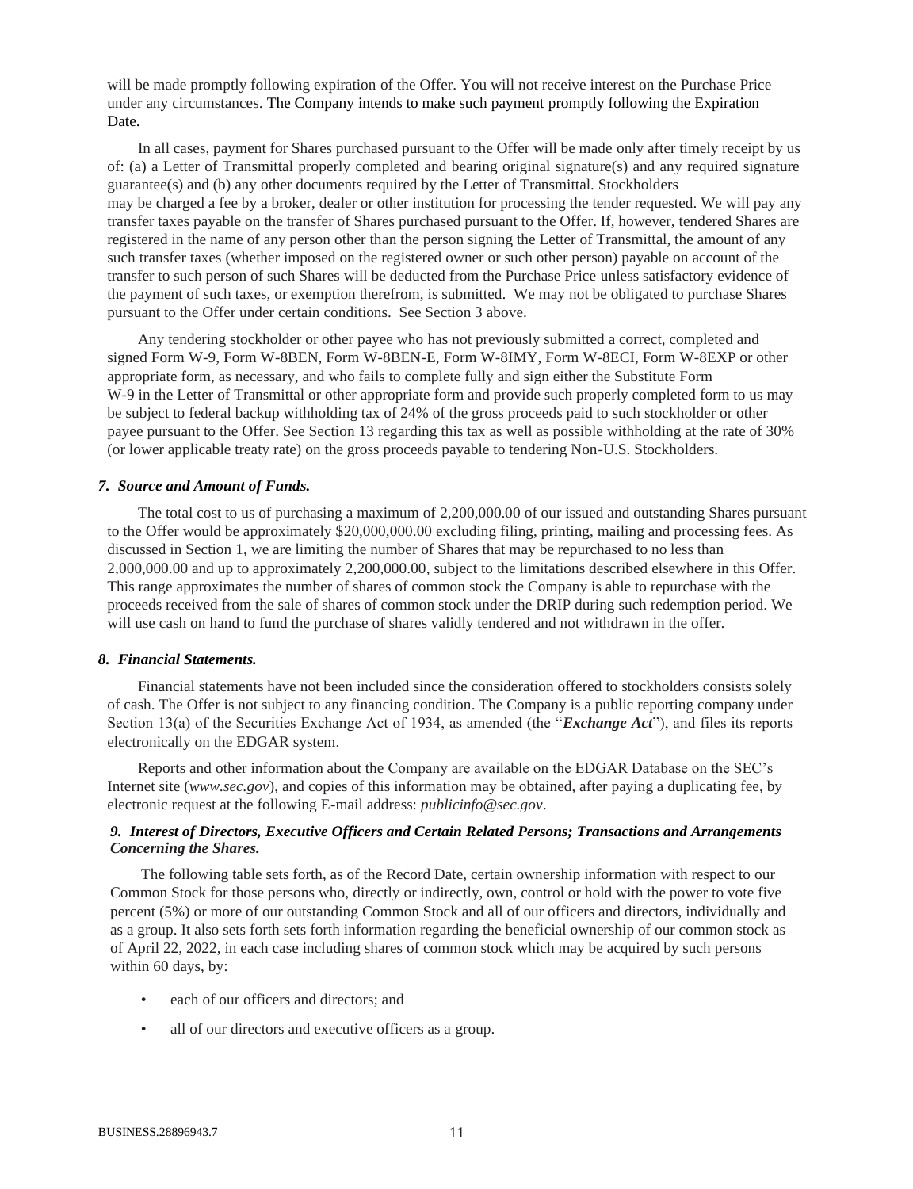will be made promptly following expiration of the Offer. You will not receive interest on the Purchase Price under any circumstances. The Company intends to make such payment promptly following the Expiration Date.

In all cases, payment for Shares purchased pursuant to the Offer will be made only after timely receipt by us of: (a) a Letter of Transmittal properly completed and bearing original signature(s) and any required signature guarantee(s) and (b) any other documents required by the Letter of Transmittal. Stockholders may be charged a fee by a broker, dealer or other institution for processing the tender requested. We will pay any transfer taxes payable on the transfer of Shares purchased pursuant to the Offer. If, however, tendered Shares are registered in the name of any person other than the person signing the Letter of Transmittal, the amount of any such transfer taxes (whether imposed on the registered owner or such other person) payable on account of the transfer to such person of such Shares will be deducted from the Purchase Price unless satisfactory evidence of the payment of such taxes, or exemption therefrom, is submitted. We may not be obligated to purchase Shares pursuant to the Offer under certain conditions. See Section 3 above.

Any tendering stockholder or other payee who has not previously submitted a correct, completed and signed Form W-9, Form W-8BEN, Form W-8BEN-E, Form W-8IMY, Form W-8ECI, Form W-8EXP or other appropriate form, as necessary, and who fails to complete fully and sign either the Substitute Form W-9 in the Letter of Transmittal or other appropriate form and provide such properly completed form to us may be subject to federal backup withholding tax of 24% of the gross proceeds paid to such stockholder or other payee pursuant to the Offer. See Section 13 regarding this tax as well as possible withholding at the rate of 30% (or lower applicable treaty rate) on the gross proceeds payable to tendering Non-U.S. Stockholders.

#### <span id="page-10-0"></span>*7. Source and Amount of Funds.*

The total cost to us of purchasing a maximum of 2,200,000.00 of our issued and outstanding Shares pursuant to the Offer would be approximately \$20,000,000.00 excluding filing, printing, mailing and processing fees. As discussed in Section 1, we are limiting the number of Shares that may be repurchased to no less than 2,000,000.00 and up to approximately 2,200,000.00, subject to the limitations described elsewhere in this Offer. This range approximates the number of shares of common stock the Company is able to repurchase with the proceeds received from the sale of shares of common stock under the DRIP during such redemption period. We will use cash on hand to fund the purchase of shares validly tendered and not withdrawn in the offer.

#### <span id="page-10-1"></span>*8. Financial Statements.*

Financial statements have not been included since the consideration offered to stockholders consists solely of cash. The Offer is not subject to any financing condition. The Company is a public reporting company under Section 13(a) of the Securities Exchange Act of 1934, as amended (the "*Exchange Act*"), and files its reports electronically on the EDGAR system.

Reports and other information about the Company are available on the EDGAR Database on the SEC's Internet site (*www.sec.gov*), and copies of this information may be obtained, after paying a duplicating fee, by electronic request at the following E-mail address: *publicinfo@sec.gov*.

## <span id="page-10-2"></span>*9. Interest of Directors, Executive Officers and Certain Related Persons; Transactions and Arrangements Concerning the Shares.*

The following table sets forth, as of the Record Date, certain ownership information with respect to our Common Stock for those persons who, directly or indirectly, own, control or hold with the power to vote five percent (5%) or more of our outstanding Common Stock and all of our officers and directors, individually and as a group. It also sets forth sets forth information regarding the beneficial ownership of our common stock as of April 22, 2022, in each case including shares of common stock which may be acquired by such persons within 60 days, by:

- each of our officers and directors; and
- all of our directors and executive officers as a group.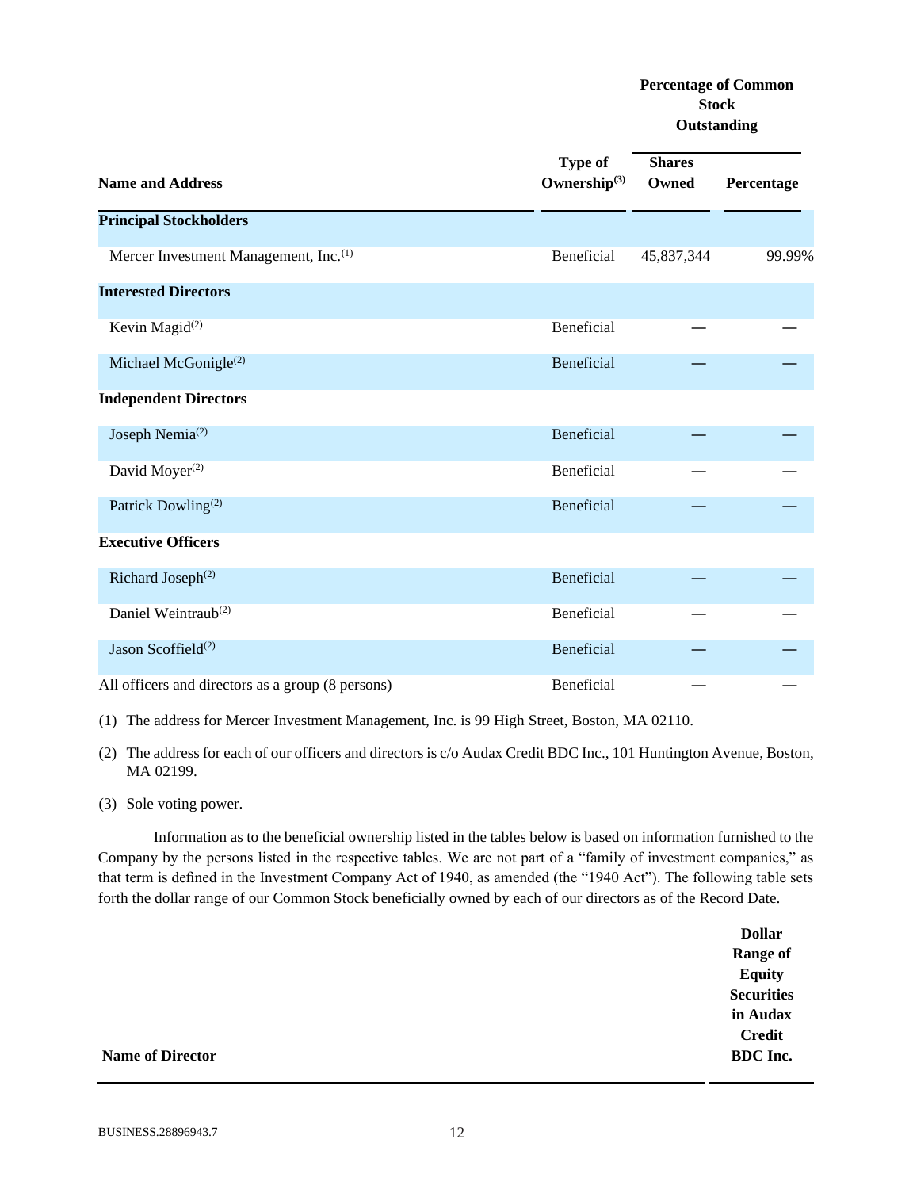# **Percentage of Common Stock Outstanding**

| <b>Name and Address</b>                           | <b>Type of</b><br>Ownership $^{(3)}$ | <b>Shares</b><br>Owned | Percentage |
|---------------------------------------------------|--------------------------------------|------------------------|------------|
| <b>Principal Stockholders</b>                     |                                      |                        |            |
| Mercer Investment Management, Inc. <sup>(1)</sup> | Beneficial                           | 45,837,344             | 99.99%     |
| <b>Interested Directors</b>                       |                                      |                        |            |
| Kevin Magid <sup>(2)</sup>                        | Beneficial                           |                        |            |
| Michael McGonigle <sup>(2)</sup>                  | Beneficial                           |                        |            |
| <b>Independent Directors</b>                      |                                      |                        |            |
| Joseph Nemia <sup>(2)</sup>                       | Beneficial                           |                        |            |
| David Moyer <sup>(2)</sup>                        | Beneficial                           |                        |            |
| Patrick Dowling <sup>(2)</sup>                    | Beneficial                           |                        |            |
| <b>Executive Officers</b>                         |                                      |                        |            |
| Richard Joseph <sup>(2)</sup>                     | Beneficial                           |                        |            |
| Daniel Weintraub <sup>(2)</sup>                   | Beneficial                           |                        |            |
| Jason Scoffield <sup>(2)</sup>                    | Beneficial                           |                        |            |
| All officers and directors as a group (8 persons) | Beneficial                           |                        |            |

(1) The address for Mercer Investment Management, Inc. is 99 High Street, Boston, MA 02110.

(2) The address for each of our officers and directors is c/o Audax Credit BDC Inc., 101 Huntington Avenue, Boston, MA 02199.

(3) Sole voting power.

Information as to the beneficial ownership listed in the tables below is based on information furnished to the Company by the persons listed in the respective tables. We are not part of a "family of investment companies," as that term is defined in the Investment Company Act of 1940, as amended (the "1940 Act"). The following table sets forth the dollar range of our Common Stock beneficially owned by each of our directors as of the Record Date.

|                         | <b>Dollar</b>     |
|-------------------------|-------------------|
|                         | <b>Range of</b>   |
|                         | <b>Equity</b>     |
|                         | <b>Securities</b> |
|                         | in Audax          |
|                         | <b>Credit</b>     |
| <b>Name of Director</b> | <b>BDC</b> Inc.   |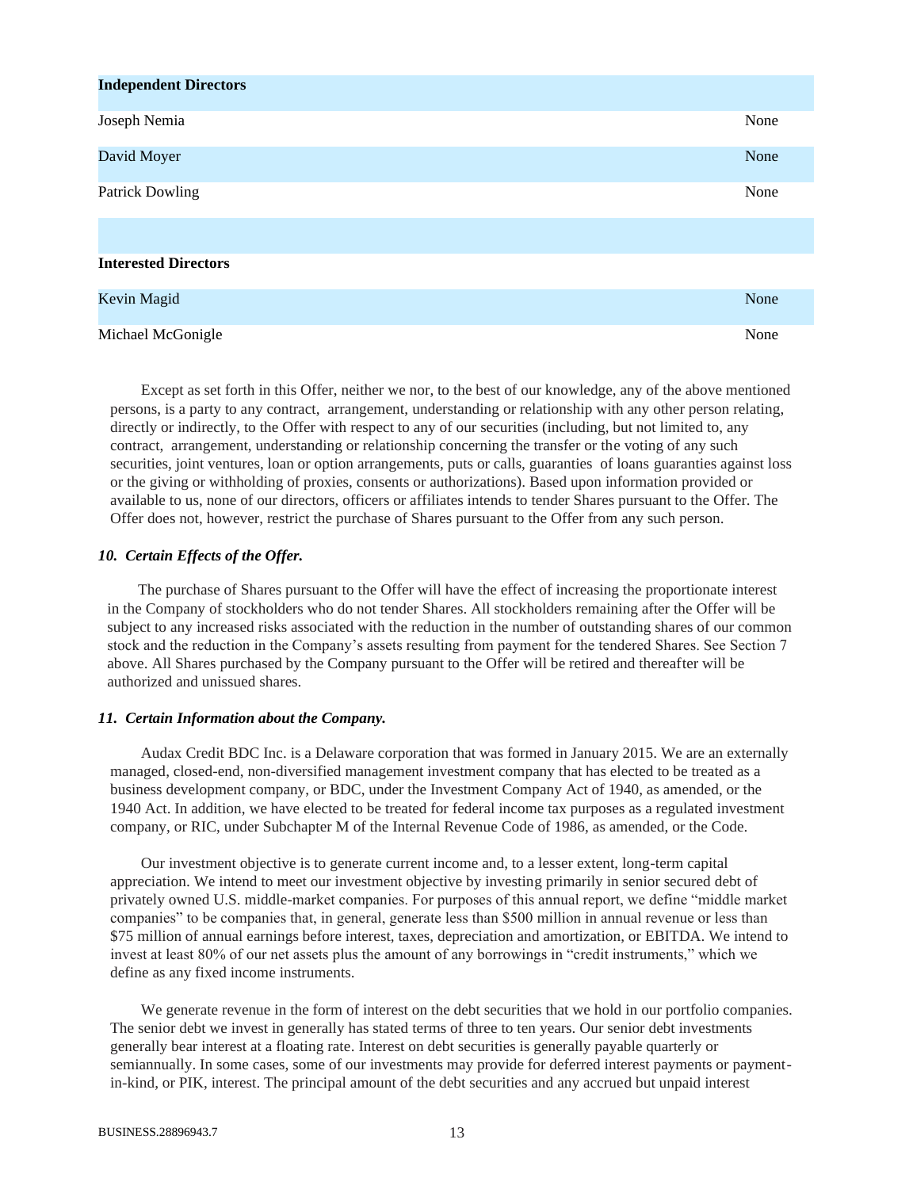| <b>Independent Directors</b> |      |
|------------------------------|------|
| Joseph Nemia                 | None |
| David Moyer                  | None |
| <b>Patrick Dowling</b>       | None |
| <b>Interested Directors</b>  |      |
| Kevin Magid                  | None |
| Michael McGonigle            | None |

Except as set forth in this Offer, neither we nor, to the best of our knowledge, any of the above mentioned persons, is a party to any contract, arrangement, understanding or relationship with any other person relating, directly or indirectly, to the Offer with respect to any of our securities (including, but not limited to, any contract, arrangement, understanding or relationship concerning the transfer or the voting of any such securities, joint ventures, loan or option arrangements, puts or calls, guaranties of loans guaranties against loss or the giving or withholding of proxies, consents or authorizations). Based upon information provided or available to us, none of our directors, officers or affiliates intends to tender Shares pursuant to the Offer. The Offer does not, however, restrict the purchase of Shares pursuant to the Offer from any such person.

## <span id="page-12-0"></span>*10. Certain Effects of the Offer.*

The purchase of Shares pursuant to the Offer will have the effect of increasing the proportionate interest in the Company of stockholders who do not tender Shares. All stockholders remaining after the Offer will be subject to any increased risks associated with the reduction in the number of outstanding shares of our common stock and the reduction in the Company's assets resulting from payment for the tendered Shares. See Section 7 above. All Shares purchased by the Company pursuant to the Offer will be retired and thereafter will be authorized and unissued shares.

#### <span id="page-12-1"></span>*11. Certain Information about the Company.*

Audax Credit BDC Inc. is a Delaware corporation that was formed in January 2015. We are an externally managed, closed-end, non-diversified management investment company that has elected to be treated as a business development company, or BDC, under the Investment Company Act of 1940, as amended, or the 1940 Act. In addition, we have elected to be treated for federal income tax purposes as a regulated investment company, or RIC, under Subchapter M of the Internal Revenue Code of 1986, as amended, or the Code.

Our investment objective is to generate current income and, to a lesser extent, long-term capital appreciation. We intend to meet our investment objective by investing primarily in senior secured debt of privately owned U.S. middle-market companies. For purposes of this annual report, we define "middle market companies" to be companies that, in general, generate less than \$500 million in annual revenue or less than \$75 million of annual earnings before interest, taxes, depreciation and amortization, or EBITDA. We intend to invest at least 80% of our net assets plus the amount of any borrowings in "credit instruments," which we define as any fixed income instruments.

We generate revenue in the form of interest on the debt securities that we hold in our portfolio companies. The senior debt we invest in generally has stated terms of three to ten years. Our senior debt investments generally bear interest at a floating rate. Interest on debt securities is generally payable quarterly or semiannually. In some cases, some of our investments may provide for deferred interest payments or paymentin-kind, or PIK, interest. The principal amount of the debt securities and any accrued but unpaid interest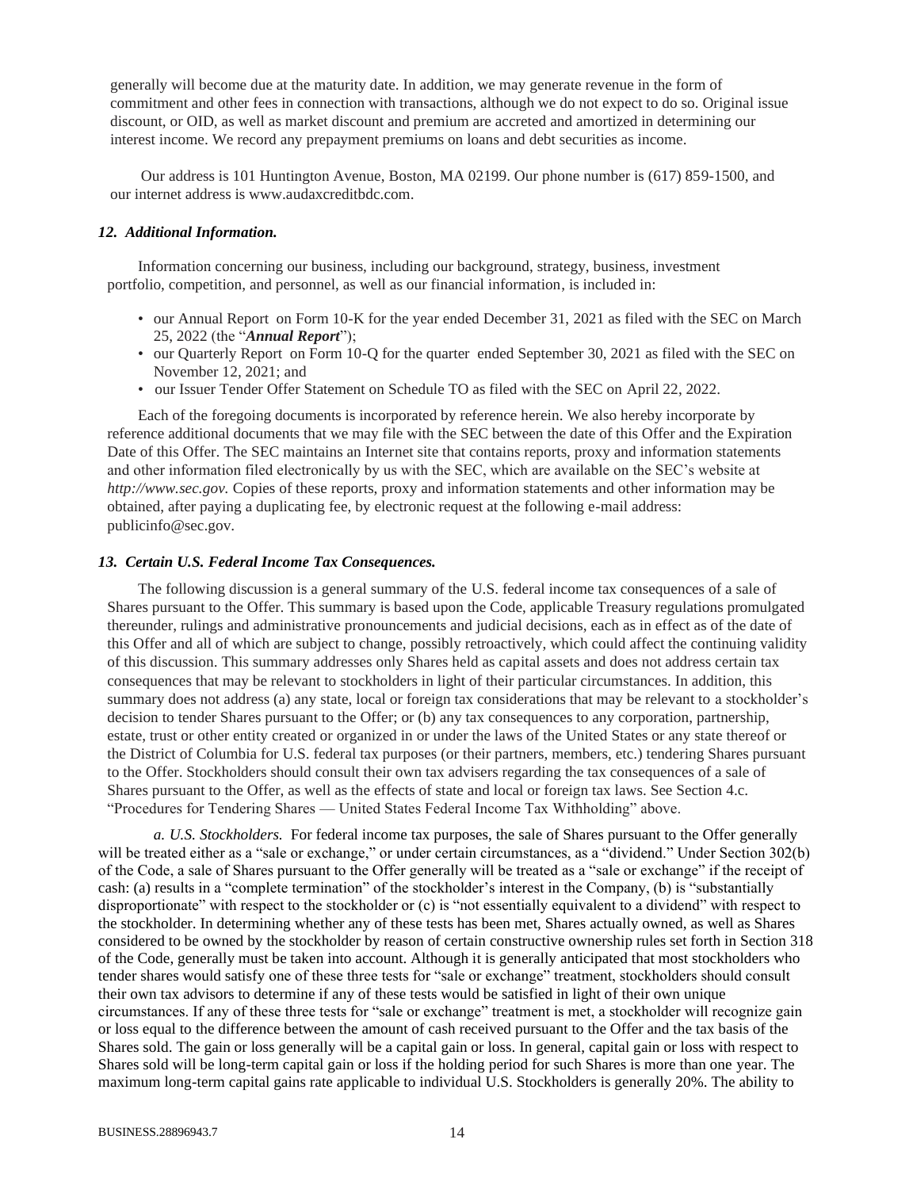generally will become due at the maturity date. In addition, we may generate revenue in the form of commitment and other fees in connection with transactions, although we do not expect to do so. Original issue discount, or OID, as well as market discount and premium are accreted and amortized in determining our interest income. We record any prepayment premiums on loans and debt securities as income.

Our address is 101 Huntington Avenue, Boston, MA 02199. Our phone number is (617) 859-1500, and our internet address is www.audaxcreditbdc.com.

#### <span id="page-13-0"></span>*12. Additional Information.*

Information concerning our business, including our background, strategy, business, investment portfolio, competition, and personnel, as well as our financial information, is included in:

- our Annual Report on Form 10-K for the year ended December 31, 2021 as filed with the SEC on March 25, 2022 (the "*Annual Report*");
- our Quarterly Report on Form 10-Q for the quarter ended September 30, 2021 as filed with the SEC on November 12, 2021; and
- our Issuer Tender Offer Statement on Schedule TO as filed with the SEC on April 22, 2022.

Each of the foregoing documents is incorporated by reference herein. We also hereby incorporate by reference additional documents that we may file with the SEC between the date of this Offer and the Expiration Date of this Offer. The SEC maintains an Internet site that contains reports, proxy and information statements and other information filed electronically by us with the SEC, which are available on the SEC's website at *http://www.sec.gov.* Copies of these reports, proxy and information statements and other information may be obtained, after paying a duplicating fee, by electronic request at the following e-mail address: publicinfo@sec.gov.

#### <span id="page-13-1"></span>*13. Certain U.S. Federal Income Tax Consequences.*

The following discussion is a general summary of the U.S. federal income tax consequences of a sale of Shares pursuant to the Offer. This summary is based upon the Code, applicable Treasury regulations promulgated thereunder, rulings and administrative pronouncements and judicial decisions, each as in effect as of the date of this Offer and all of which are subject to change, possibly retroactively, which could affect the continuing validity of this discussion. This summary addresses only Shares held as capital assets and does not address certain tax consequences that may be relevant to stockholders in light of their particular circumstances. In addition, this summary does not address (a) any state, local or foreign tax considerations that may be relevant to a stockholder's decision to tender Shares pursuant to the Offer; or (b) any tax consequences to any corporation, partnership, estate, trust or other entity created or organized in or under the laws of the United States or any state thereof or the District of Columbia for U.S. federal tax purposes (or their partners, members, etc.) tendering Shares pursuant to the Offer. Stockholders should consult their own tax advisers regarding the tax consequences of a sale of Shares pursuant to the Offer, as well as the effects of state and local or foreign tax laws. See Section 4.c. "Procedures for Tendering Shares — United States Federal Income Tax Withholding" above.

<span id="page-13-2"></span>*a. U.S. Stockholders.* For federal income tax purposes, the sale of Shares pursuant to the Offer generally will be treated either as a "sale or exchange," or under certain circumstances, as a "dividend." Under Section 302(b) of the Code, a sale of Shares pursuant to the Offer generally will be treated as a "sale or exchange" if the receipt of cash: (a) results in a "complete termination" of the stockholder's interest in the Company, (b) is "substantially disproportionate" with respect to the stockholder or (c) is "not essentially equivalent to a dividend" with respect to the stockholder. In determining whether any of these tests has been met, Shares actually owned, as well as Shares considered to be owned by the stockholder by reason of certain constructive ownership rules set forth in Section 318 of the Code, generally must be taken into account. Although it is generally anticipated that most stockholders who tender shares would satisfy one of these three tests for "sale or exchange" treatment, stockholders should consult their own tax advisors to determine if any of these tests would be satisfied in light of their own unique circumstances. If any of these three tests for "sale or exchange" treatment is met, a stockholder will recognize gain or loss equal to the difference between the amount of cash received pursuant to the Offer and the tax basis of the Shares sold. The gain or loss generally will be a capital gain or loss. In general, capital gain or loss with respect to Shares sold will be long-term capital gain or loss if the holding period for such Shares is more than one year. The maximum long-term capital gains rate applicable to individual U.S. Stockholders is generally 20%. The ability to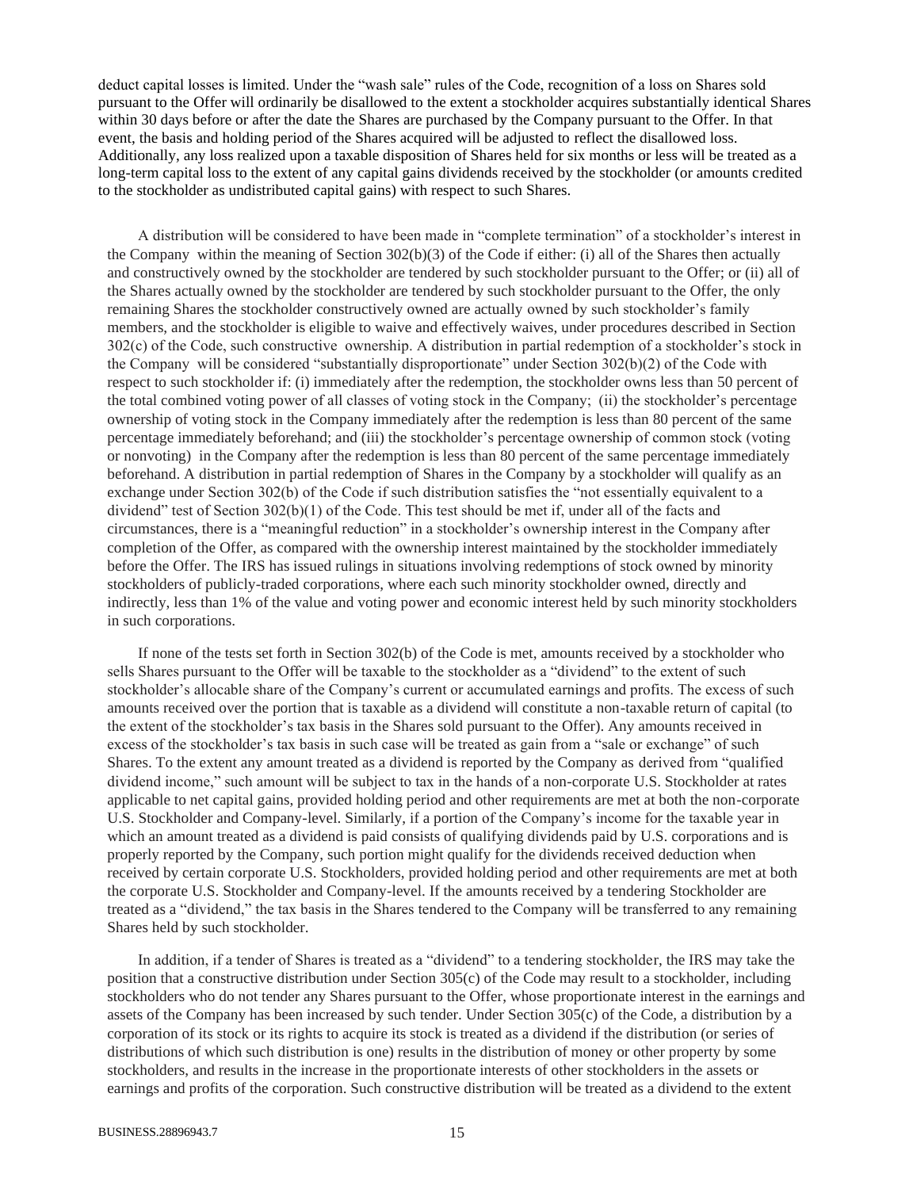deduct capital losses is limited. Under the "wash sale" rules of the Code, recognition of a loss on Shares sold pursuant to the Offer will ordinarily be disallowed to the extent a stockholder acquires substantially identical Shares within 30 days before or after the date the Shares are purchased by the Company pursuant to the Offer. In that event, the basis and holding period of the Shares acquired will be adjusted to reflect the disallowed loss. Additionally, any loss realized upon a taxable disposition of Shares held for six months or less will be treated as a long-term capital loss to the extent of any capital gains dividends received by the stockholder (or amounts credited to the stockholder as undistributed capital gains) with respect to such Shares.

A distribution will be considered to have been made in "complete termination" of a stockholder's interest in the Company within the meaning of Section 302(b)(3) of the Code if either: (i) all of the Shares then actually and constructively owned by the stockholder are tendered by such stockholder pursuant to the Offer; or (ii) all of the Shares actually owned by the stockholder are tendered by such stockholder pursuant to the Offer, the only remaining Shares the stockholder constructively owned are actually owned by such stockholder's family members, and the stockholder is eligible to waive and effectively waives, under procedures described in Section 302(c) of the Code, such constructive ownership. A distribution in partial redemption of a stockholder's stock in the Company will be considered "substantially disproportionate" under Section 302(b)(2) of the Code with respect to such stockholder if: (i) immediately after the redemption, the stockholder owns less than 50 percent of the total combined voting power of all classes of voting stock in the Company; (ii) the stockholder's percentage ownership of voting stock in the Company immediately after the redemption is less than 80 percent of the same percentage immediately beforehand; and (iii) the stockholder's percentage ownership of common stock (voting or nonvoting) in the Company after the redemption is less than 80 percent of the same percentage immediately beforehand. A distribution in partial redemption of Shares in the Company by a stockholder will qualify as an exchange under Section 302(b) of the Code if such distribution satisfies the "not essentially equivalent to a dividend" test of Section 302(b)(1) of the Code. This test should be met if, under all of the facts and circumstances, there is a "meaningful reduction" in a stockholder's ownership interest in the Company after completion of the Offer, as compared with the ownership interest maintained by the stockholder immediately before the Offer. The IRS has issued rulings in situations involving redemptions of stock owned by minority stockholders of publicly-traded corporations, where each such minority stockholder owned, directly and indirectly, less than 1% of the value and voting power and economic interest held by such minority stockholders in such corporations.

If none of the tests set forth in Section 302(b) of the Code is met, amounts received by a stockholder who sells Shares pursuant to the Offer will be taxable to the stockholder as a "dividend" to the extent of such stockholder's allocable share of the Company's current or accumulated earnings and profits. The excess of such amounts received over the portion that is taxable as a dividend will constitute a non-taxable return of capital (to the extent of the stockholder's tax basis in the Shares sold pursuant to the Offer). Any amounts received in excess of the stockholder's tax basis in such case will be treated as gain from a "sale or exchange" of such Shares. To the extent any amount treated as a dividend is reported by the Company as derived from "qualified dividend income," such amount will be subject to tax in the hands of a non-corporate U.S. Stockholder at rates applicable to net capital gains, provided holding period and other requirements are met at both the non-corporate U.S. Stockholder and Company-level. Similarly, if a portion of the Company's income for the taxable year in which an amount treated as a dividend is paid consists of qualifying dividends paid by U.S. corporations and is properly reported by the Company, such portion might qualify for the dividends received deduction when received by certain corporate U.S. Stockholders, provided holding period and other requirements are met at both the corporate U.S. Stockholder and Company-level. If the amounts received by a tendering Stockholder are treated as a "dividend," the tax basis in the Shares tendered to the Company will be transferred to any remaining Shares held by such stockholder.

In addition, if a tender of Shares is treated as a "dividend" to a tendering stockholder, the IRS may take the position that a constructive distribution under Section 305(c) of the Code may result to a stockholder, including stockholders who do not tender any Shares pursuant to the Offer, whose proportionate interest in the earnings and assets of the Company has been increased by such tender. Under Section 305(c) of the Code, a distribution by a corporation of its stock or its rights to acquire its stock is treated as a dividend if the distribution (or series of distributions of which such distribution is one) results in the distribution of money or other property by some stockholders, and results in the increase in the proportionate interests of other stockholders in the assets or earnings and profits of the corporation. Such constructive distribution will be treated as a dividend to the extent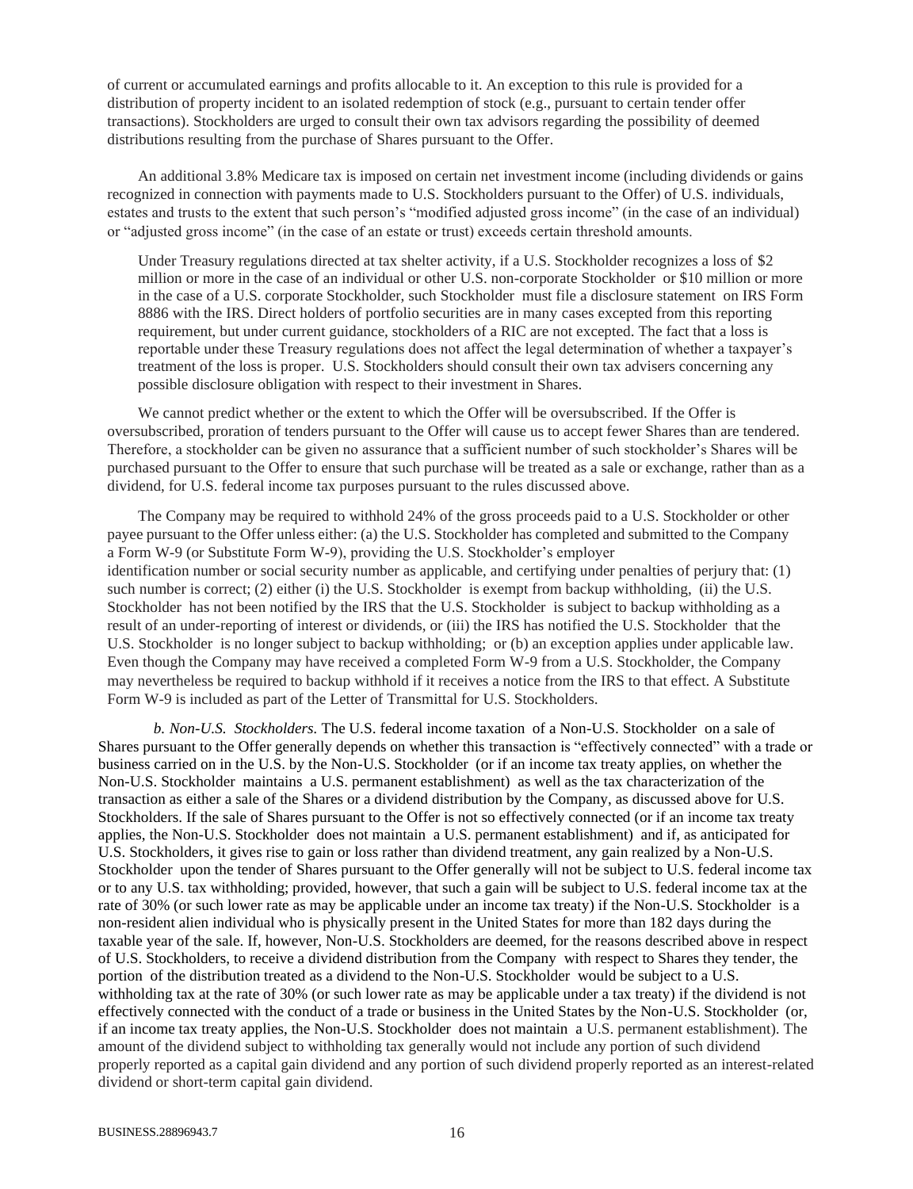of current or accumulated earnings and profits allocable to it. An exception to this rule is provided for a distribution of property incident to an isolated redemption of stock (e.g., pursuant to certain tender offer transactions). Stockholders are urged to consult their own tax advisors regarding the possibility of deemed distributions resulting from the purchase of Shares pursuant to the Offer.

An additional 3.8% Medicare tax is imposed on certain net investment income (including dividends or gains recognized in connection with payments made to U.S. Stockholders pursuant to the Offer) of U.S. individuals, estates and trusts to the extent that such person's "modified adjusted gross income" (in the case of an individual) or "adjusted gross income" (in the case of an estate or trust) exceeds certain threshold amounts.

Under Treasury regulations directed at tax shelter activity, if a U.S. Stockholder recognizes a loss of \$2 million or more in the case of an individual or other U.S. non-corporate Stockholder or \$10 million or more in the case of a U.S. corporate Stockholder, such Stockholder must file a disclosure statement on IRS Form 8886 with the IRS. Direct holders of portfolio securities are in many cases excepted from this reporting requirement, but under current guidance, stockholders of a RIC are not excepted. The fact that a loss is reportable under these Treasury regulations does not affect the legal determination of whether a taxpayer's treatment of the loss is proper. U.S. Stockholders should consult their own tax advisers concerning any possible disclosure obligation with respect to their investment in Shares.

We cannot predict whether or the extent to which the Offer will be oversubscribed. If the Offer is oversubscribed, proration of tenders pursuant to the Offer will cause us to accept fewer Shares than are tendered. Therefore, a stockholder can be given no assurance that a sufficient number of such stockholder's Shares will be purchased pursuant to the Offer to ensure that such purchase will be treated as a sale or exchange, rather than as a dividend, for U.S. federal income tax purposes pursuant to the rules discussed above.

The Company may be required to withhold 24% of the gross proceeds paid to a U.S. Stockholder or other payee pursuant to the Offer unless either: (a) the U.S. Stockholder has completed and submitted to the Company a Form W-9 (or Substitute Form W-9), providing the U.S. Stockholder's employer identification number or social security number as applicable, and certifying under penalties of perjury that: (1) such number is correct; (2) either (i) the U.S. Stockholder is exempt from backup withholding, (ii) the U.S. Stockholder has not been notified by the IRS that the U.S. Stockholder is subject to backup withholding as a result of an under-reporting of interest or dividends, or (iii) the IRS has notified the U.S. Stockholder that the U.S. Stockholder is no longer subject to backup withholding; or (b) an exception applies under applicable law. Even though the Company may have received a completed Form W-9 from a U.S. Stockholder, the Company may nevertheless be required to backup withhold if it receives a notice from the IRS to that effect. A Substitute Form W-9 is included as part of the Letter of Transmittal for U.S. Stockholders.

<span id="page-15-0"></span>*b. Non-U.S. Stockholders.* The U.S. federal income taxation of a Non-U.S. Stockholder on a sale of Shares pursuant to the Offer generally depends on whether this transaction is "effectively connected" with a trade or business carried on in the U.S. by the Non-U.S. Stockholder (or if an income tax treaty applies, on whether the Non-U.S. Stockholder maintains a U.S. permanent establishment) as well as the tax characterization of the transaction as either a sale of the Shares or a dividend distribution by the Company, as discussed above for U.S. Stockholders. If the sale of Shares pursuant to the Offer is not so effectively connected (or if an income tax treaty applies, the Non-U.S. Stockholder does not maintain a U.S. permanent establishment) and if, as anticipated for U.S. Stockholders, it gives rise to gain or loss rather than dividend treatment, any gain realized by a Non-U.S. Stockholder upon the tender of Shares pursuant to the Offer generally will not be subject to U.S. federal income tax or to any U.S. tax withholding; provided, however, that such a gain will be subject to U.S. federal income tax at the rate of 30% (or such lower rate as may be applicable under an income tax treaty) if the Non-U.S. Stockholder is a non-resident alien individual who is physically present in the United States for more than 182 days during the taxable year of the sale. If, however, Non-U.S. Stockholders are deemed, for the reasons described above in respect of U.S. Stockholders, to receive a dividend distribution from the Company with respect to Shares they tender, the portion of the distribution treated as a dividend to the Non-U.S. Stockholder would be subject to a U.S. withholding tax at the rate of 30% (or such lower rate as may be applicable under a tax treaty) if the dividend is not effectively connected with the conduct of a trade or business in the United States by the Non-U.S. Stockholder (or, if an income tax treaty applies, the Non-U.S. Stockholder does not maintain a U.S. permanent establishment). The amount of the dividend subject to withholding tax generally would not include any portion of such dividend properly reported as a capital gain dividend and any portion of such dividend properly reported as an interest-related dividend or short-term capital gain dividend.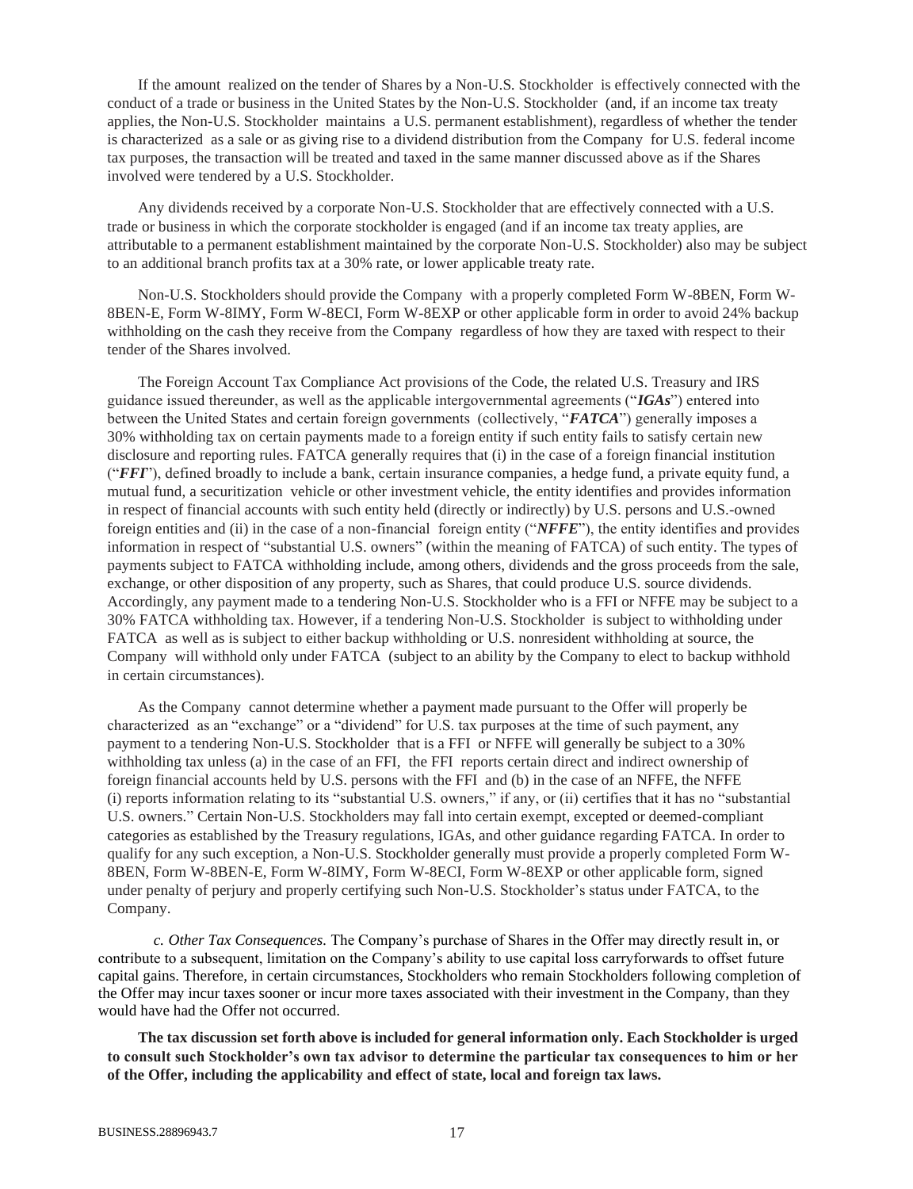If the amount realized on the tender of Shares by a Non-U.S. Stockholder is effectively connected with the conduct of a trade or business in the United States by the Non-U.S. Stockholder (and, if an income tax treaty applies, the Non-U.S. Stockholder maintains a U.S. permanent establishment), regardless of whether the tender is characterized as a sale or as giving rise to a dividend distribution from the Company for U.S. federal income tax purposes, the transaction will be treated and taxed in the same manner discussed above as if the Shares involved were tendered by a U.S. Stockholder.

Any dividends received by a corporate Non-U.S. Stockholder that are effectively connected with a U.S. trade or business in which the corporate stockholder is engaged (and if an income tax treaty applies, are attributable to a permanent establishment maintained by the corporate Non-U.S. Stockholder) also may be subject to an additional branch profits tax at a 30% rate, or lower applicable treaty rate.

Non-U.S. Stockholders should provide the Company with a properly completed Form W-8BEN, Form W-8BEN-E, Form W-8IMY, Form W-8ECI, Form W-8EXP or other applicable form in order to avoid 24% backup withholding on the cash they receive from the Company regardless of how they are taxed with respect to their tender of the Shares involved.

The Foreign Account Tax Compliance Act provisions of the Code, the related U.S. Treasury and IRS guidance issued thereunder, as well as the applicable intergovernmental agreements ("*IGAs*") entered into between the United States and certain foreign governments (collectively, "*FATCA*") generally imposes a 30% withholding tax on certain payments made to a foreign entity if such entity fails to satisfy certain new disclosure and reporting rules. FATCA generally requires that (i) in the case of a foreign financial institution ("*FFI*"), defined broadly to include a bank, certain insurance companies, a hedge fund, a private equity fund, a mutual fund, a securitization vehicle or other investment vehicle, the entity identifies and provides information in respect of financial accounts with such entity held (directly or indirectly) by U.S. persons and U.S.-owned foreign entities and (ii) in the case of a non-financial foreign entity ("*NFFE*"), the entity identifies and provides information in respect of "substantial U.S. owners" (within the meaning of FATCA) of such entity. The types of payments subject to FATCA withholding include, among others, dividends and the gross proceeds from the sale, exchange, or other disposition of any property, such as Shares, that could produce U.S. source dividends. Accordingly, any payment made to a tendering Non-U.S. Stockholder who is a FFI or NFFE may be subject to a 30% FATCA withholding tax. However, if a tendering Non-U.S. Stockholder is subject to withholding under FATCA as well as is subject to either backup withholding or U.S. nonresident withholding at source, the Company will withhold only under FATCA (subject to an ability by the Company to elect to backup withhold in certain circumstances).

As the Company cannot determine whether a payment made pursuant to the Offer will properly be characterized as an "exchange" or a "dividend" for U.S. tax purposes at the time of such payment, any payment to a tendering Non-U.S. Stockholder that is a FFI or NFFE will generally be subject to a 30% withholding tax unless (a) in the case of an FFI, the FFI reports certain direct and indirect ownership of foreign financial accounts held by U.S. persons with the FFI and (b) in the case of an NFFE, the NFFE (i) reports information relating to its "substantial U.S. owners," if any, or (ii) certifies that it has no "substantial U.S. owners." Certain Non-U.S. Stockholders may fall into certain exempt, excepted or deemed-compliant categories as established by the Treasury regulations, IGAs, and other guidance regarding FATCA. In order to qualify for any such exception, a Non-U.S. Stockholder generally must provide a properly completed Form W-8BEN, Form W-8BEN-E, Form W-8IMY, Form W-8ECI, Form W-8EXP or other applicable form, signed under penalty of perjury and properly certifying such Non-U.S. Stockholder's status under FATCA, to the Company.

<span id="page-16-0"></span>*c. Other Tax Consequences.* The Company's purchase of Shares in the Offer may directly result in, or contribute to a subsequent, limitation on the Company's ability to use capital loss carryforwards to offset future capital gains. Therefore, in certain circumstances, Stockholders who remain Stockholders following completion of the Offer may incur taxes sooner or incur more taxes associated with their investment in the Company, than they would have had the Offer not occurred.

**The tax discussion set forth above is included for general information only. Each Stockholder is urged to consult such Stockholder's own tax advisor to determine the particular tax consequences to him or her of the Offer, including the applicability and effect of state, local and foreign tax laws.**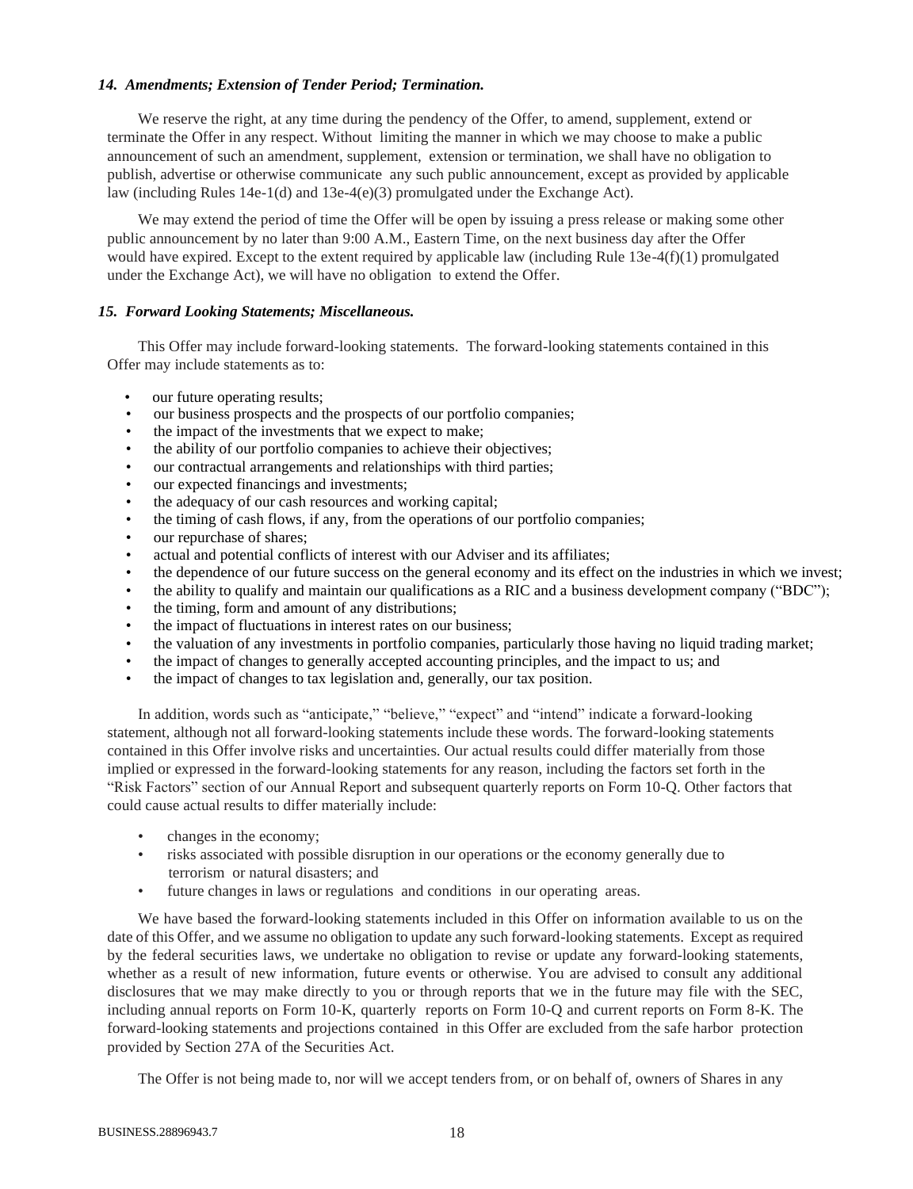#### <span id="page-17-0"></span>*14. Amendments; Extension of Tender Period; Termination.*

We reserve the right, at any time during the pendency of the Offer, to amend, supplement, extend or terminate the Offer in any respect. Without limiting the manner in which we may choose to make a public announcement of such an amendment, supplement, extension or termination, we shall have no obligation to publish, advertise or otherwise communicate any such public announcement, except as provided by applicable law (including Rules 14e-1(d) and 13e-4(e)(3) promulgated under the Exchange Act).

We may extend the period of time the Offer will be open by issuing a press release or making some other public announcement by no later than 9:00 A.M., Eastern Time, on the next business day after the Offer would have expired. Except to the extent required by applicable law (including Rule  $13e-4(f)(1)$  promulgated under the Exchange Act), we will have no obligation to extend the Offer.

## <span id="page-17-1"></span>*15. Forward Looking Statements; Miscellaneous.*

This Offer may include forward-looking statements. The forward-looking statements contained in this Offer may include statements as to:

- our future operating results;
- our business prospects and the prospects of our portfolio companies;
- the impact of the investments that we expect to make;
- the ability of our portfolio companies to achieve their objectives;
- our contractual arrangements and relationships with third parties;
- our expected financings and investments;
- the adequacy of our cash resources and working capital;
- the timing of cash flows, if any, from the operations of our portfolio companies;
- our repurchase of shares;
- actual and potential conflicts of interest with our Adviser and its affiliates;
- the dependence of our future success on the general economy and its effect on the industries in which we invest;
- the ability to qualify and maintain our qualifications as a RIC and a business development company ("BDC");
- the timing, form and amount of any distributions;
- the impact of fluctuations in interest rates on our business;
- the valuation of any investments in portfolio companies, particularly those having no liquid trading market;
- the impact of changes to generally accepted accounting principles, and the impact to us; and
- the impact of changes to tax legislation and, generally, our tax position.

In addition, words such as "anticipate," "believe," "expect" and "intend" indicate a forward-looking statement, although not all forward-looking statements include these words. The forward-looking statements contained in this Offer involve risks and uncertainties. Our actual results could differ materially from those implied or expressed in the forward-looking statements for any reason, including the factors set forth in the "Risk Factors" section of our Annual Report and subsequent quarterly reports on Form 10-Q. Other factors that could cause actual results to differ materially include:

- changes in the economy;
- risks associated with possible disruption in our operations or the economy generally due to terrorism or natural disasters; and
- future changes in laws or regulations and conditions in our operating areas.

We have based the forward-looking statements included in this Offer on information available to us on the date of this Offer, and we assume no obligation to update any such forward-looking statements. Except as required by the federal securities laws, we undertake no obligation to revise or update any forward-looking statements, whether as a result of new information, future events or otherwise. You are advised to consult any additional disclosures that we may make directly to you or through reports that we in the future may file with the SEC, including annual reports on Form 10-K, quarterly reports on Form 10-Q and current reports on Form 8-K. The forward-looking statements and projections contained in this Offer are excluded from the safe harbor protection provided by Section 27A of the Securities Act.

The Offer is not being made to, nor will we accept tenders from, or on behalf of, owners of Shares in any